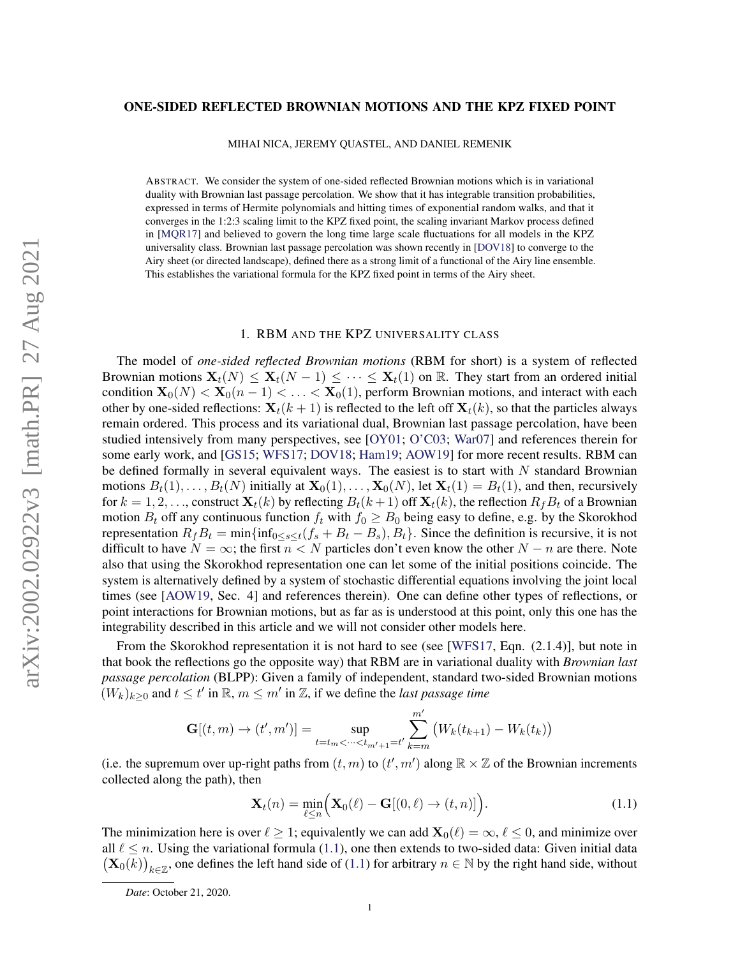## ONE-SIDED REFLECTED BROWNIAN MOTIONS AND THE KPZ FIXED POINT

MIHAI NICA, JEREMY QUASTEL, AND DANIEL REMENIK

ABSTRACT. We consider the system of one-sided reflected Brownian motions which is in variational duality with Brownian last passage percolation. We show that it has integrable transition probabilities, expressed in terms of Hermite polynomials and hitting times of exponential random walks, and that it converges in the 1:2:3 scaling limit to the KPZ fixed point, the scaling invariant Markov process defined in [\[MQR17\]](#page-13-0) and believed to govern the long time large scale fluctuations for all models in the KPZ universality class. Brownian last passage percolation was shown recently in [\[DOV18\]](#page-12-0) to converge to the Airy sheet (or directed landscape), defined there as a strong limit of a functional of the Airy line ensemble. This establishes the variational formula for the KPZ fixed point in terms of the Airy sheet.

#### 1. RBM AND THE KPZ UNIVERSALITY CLASS

The model of *one-sided reflected Brownian motions* (RBM for short) is a system of reflected Brownian motions  $\mathbf{X}_t(N) \leq \mathbf{X}_t(N-1) \leq \cdots \leq \mathbf{X}_t(1)$  on  $\mathbb{R}$ . They start from an ordered initial condition  $\mathbf{X}_0(N) < \mathbf{X}_0(n-1) < \ldots < \mathbf{X}_0(1)$ , perform Brownian motions, and interact with each other by one-sided reflections:  $\mathbf{X}_t(k+1)$  is reflected to the left off  $\mathbf{X}_t(k)$ , so that the particles always remain ordered. This process and its variational dual, Brownian last passage percolation, have been studied intensively from many perspectives, see [\[OY01;](#page-13-1) [O'C03;](#page-13-2) [War07\]](#page-13-3) and references therein for some early work, and [\[GS15;](#page-13-4) [WFS17;](#page-13-5) [DOV18;](#page-12-0) [Ham19;](#page-13-6) [AOW19\]](#page-12-1) for more recent results. RBM can be defined formally in several equivalent ways. The easiest is to start with  $N$  standard Brownian motions  $B_t(1), \ldots, B_t(N)$  initially at  $\mathbf{X}_0(1), \ldots, \mathbf{X}_0(N)$ , let  $\mathbf{X}_t(1) = B_t(1)$ , and then, recursively for  $k = 1, 2, \ldots$ , construct  $\mathbf{X}_t(k)$  by reflecting  $B_t(k+1)$  off  $\mathbf{X}_t(k)$ , the reflection  $R_f B_t$  of a Brownian motion  $B_t$  off any continuous function  $f_t$  with  $f_0 \geq B_0$  being easy to define, e.g. by the Skorokhod representation  $R_fB_t = \min{\{\inf_{0 \le s \le t} (f_s + B_t - B_s), B_t\}}$ . Since the definition is recursive, it is not difficult to have  $N = \infty$ ; the first  $n < N$  particles don't even know the other  $N - n$  are there. Note also that using the Skorokhod representation one can let some of the initial positions coincide. The system is alternatively defined by a system of stochastic differential equations involving the joint local times (see [\[AOW19,](#page-12-1) Sec. 4] and references therein). One can define other types of reflections, or point interactions for Brownian motions, but as far as is understood at this point, only this one has the integrability described in this article and we will not consider other models here.

From the Skorokhod representation it is not hard to see (see [\[WFS17,](#page-13-5) Eqn. (2.1.4)], but note in that book the reflections go the opposite way) that RBM are in variational duality with *Brownian last passage percolation* (BLPP): Given a family of independent, standard two-sided Brownian motions  $(W_k)_{k\geq 0}$  and  $t \leq t'$  in  $\mathbb{R}, m \leq m'$  in  $\mathbb{Z}$ , if we define the *last passage time* 

$$
\mathbf{G}[(t,m) \to (t',m')] = \sup_{t=t_m < \dots < t_{m'+1} = t'} \sum_{k=m}^{m'} (W_k(t_{k+1}) - W_k(t_k))
$$

(i.e. the supremum over up-right paths from  $(t, m)$  to  $(t', m')$  along  $\mathbb{R} \times \mathbb{Z}$  of the Brownian increments collected along the path), then

<span id="page-0-0"></span>
$$
\mathbf{X}_t(n) = \min_{\ell \le n} \Big( \mathbf{X}_0(\ell) - \mathbf{G}[(0,\ell) \to (t,n)] \Big). \tag{1.1}
$$

The minimization here is over  $\ell \geq 1$ ; equivalently we can add  $\mathbf{X}_0(\ell) = \infty$ ,  $\ell \leq 0$ , and minimize over all  $\ell \leq n$ . Using the variational formula [\(1.1\)](#page-0-0), one then extends to two-sided data: Given initial data  $(\mathbf{X}_0(k))_{k \in \mathbb{Z}}$ , one defines the left hand side of [\(1.1\)](#page-0-0) for arbitrary  $n \in \mathbb{N}$  by the right hand side, without

*Date*: October 21, 2020.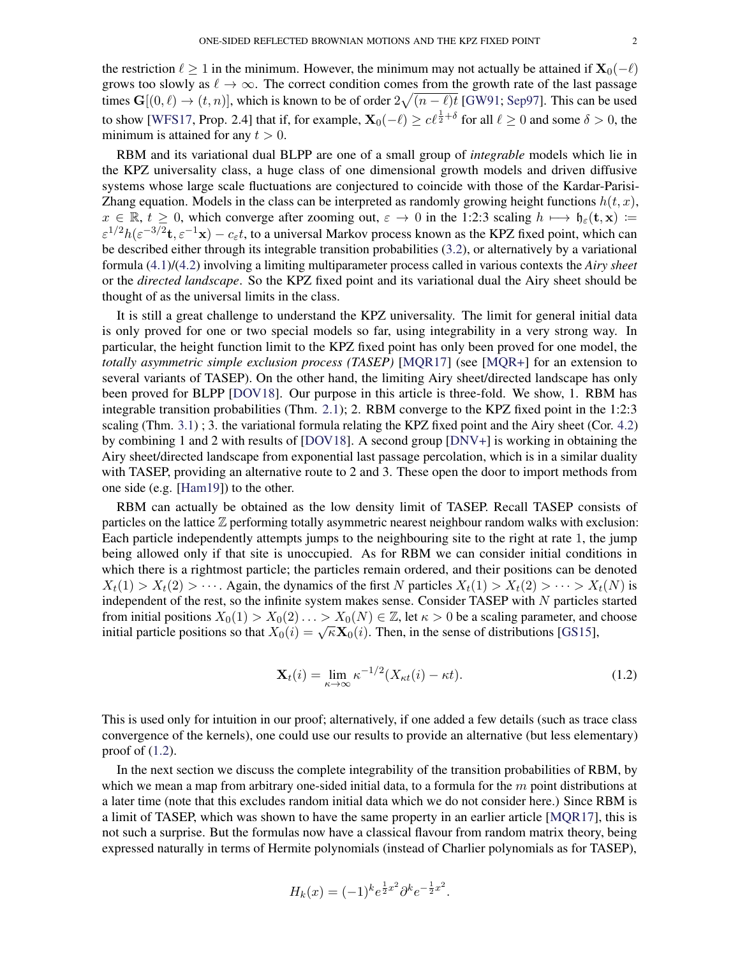the restriction  $\ell \geq 1$  in the minimum. However, the minimum may not actually be attained if  $\mathbf{X}_0(-\ell)$ grows too slowly as  $\ell \to \infty$ . The correct condition comes from the growth rate of the last passage times  $\mathbf{G}[(0,\ell) \to (t,n)]$ , which is known to be of order  $2\sqrt{(n-\ell)t}$  [\[GW91;](#page-13-7) [Sep97\]](#page-13-8). This can be used to show [\[WFS17,](#page-13-5) Prop. 2.4] that if, for example,  $\mathbf{X}_0(-\ell) \ge c \ell^{\frac{1}{2}+\delta}$  for all  $\ell \ge 0$  and some  $\delta > 0$ , the minimum is attained for any  $t > 0$ .

RBM and its variational dual BLPP are one of a small group of *integrable* models which lie in the KPZ universality class, a huge class of one dimensional growth models and driven diffusive systems whose large scale fluctuations are conjectured to coincide with those of the Kardar-Parisi-Zhang equation. Models in the class can be interpreted as randomly growing height functions  $h(t, x)$ ,  $x \in \mathbb{R}, t \geq 0$ , which converge after zooming out,  $\varepsilon \to 0$  in the 1:2:3 scaling  $h \mapsto \mathfrak{h}_{\varepsilon}(\mathbf{t}, \mathbf{x}) :=$  $\varepsilon^{1/2} h(\varepsilon^{-3/2}t, \varepsilon^{-1}x) - c_{\varepsilon}t$ , to a universal Markov process known as the KPZ fixed point, which can be described either through its integrable transition probabilities [\(3.2\)](#page-3-0), or alternatively by a variational formula [\(4.1\)](#page-7-0)/[\(4.2\)](#page-7-1) involving a limiting multiparameter process called in various contexts the *Airy sheet* or the *directed landscape*. So the KPZ fixed point and its variational dual the Airy sheet should be thought of as the universal limits in the class.

It is still a great challenge to understand the KPZ universality. The limit for general initial data is only proved for one or two special models so far, using integrability in a very strong way. In particular, the height function limit to the KPZ fixed point has only been proved for one model, the *totally asymmetric simple exclusion process (TASEP)* [\[MQR17\]](#page-13-0) (see [\[MQR+\]](#page-13-9) for an extension to several variants of TASEP). On the other hand, the limiting Airy sheet/directed landscape has only been proved for BLPP [\[DOV18\]](#page-12-0). Our purpose in this article is three-fold. We show, 1. RBM has integrable transition probabilities (Thm. [2.1\)](#page-2-0); 2. RBM converge to the KPZ fixed point in the 1:2:3 scaling (Thm. [3.1\)](#page-4-0) ; 3. the variational formula relating the KPZ fixed point and the Airy sheet (Cor. [4.2\)](#page-8-0) by combining 1 and 2 with results of [\[DOV18\]](#page-12-0). A second group [\[DNV+\]](#page-12-2) is working in obtaining the Airy sheet/directed landscape from exponential last passage percolation, which is in a similar duality with TASEP, providing an alternative route to 2 and 3. These open the door to import methods from one side (e.g. [\[Ham19\]](#page-13-6)) to the other.

RBM can actually be obtained as the low density limit of TASEP. Recall TASEP consists of particles on the lattice Z performing totally asymmetric nearest neighbour random walks with exclusion: Each particle independently attempts jumps to the neighbouring site to the right at rate 1, the jump being allowed only if that site is unoccupied. As for RBM we can consider initial conditions in which there is a rightmost particle; the particles remain ordered, and their positions can be denoted  $X_t(1) > X_t(2) > \cdots$ . Again, the dynamics of the first N particles  $X_t(1) > X_t(2) > \cdots > X_t(N)$  is independent of the rest, so the infinite system makes sense. Consider TASEP with N particles started from initial positions  $X_0(1) > X_0(2) \ldots > X_0(N) \in \mathbb{Z}$ , let  $\kappa > 0$  be a scaling parameter, and choose if initial particle positions so that  $X_0(i) = \sqrt{\kappa} \mathbf{X}_0(i)$ . Then, in the sense of distributions [\[GS15\]](#page-13-4),

<span id="page-1-0"></span>
$$
\mathbf{X}_{t}(i) = \lim_{\kappa \to \infty} \kappa^{-1/2} (X_{\kappa t}(i) - \kappa t). \tag{1.2}
$$

This is used only for intuition in our proof; alternatively, if one added a few details (such as trace class convergence of the kernels), one could use our results to provide an alternative (but less elementary) proof of [\(1.2\)](#page-1-0).

In the next section we discuss the complete integrability of the transition probabilities of RBM, by which we mean a map from arbitrary one-sided initial data, to a formula for the  $m$  point distributions at a later time (note that this excludes random initial data which we do not consider here.) Since RBM is a limit of TASEP, which was shown to have the same property in an earlier article [\[MQR17\]](#page-13-0), this is not such a surprise. But the formulas now have a classical flavour from random matrix theory, being expressed naturally in terms of Hermite polynomials (instead of Charlier polynomials as for TASEP),

$$
H_k(x) = (-1)^k e^{\frac{1}{2}x^2} \partial^k e^{-\frac{1}{2}x^2}.
$$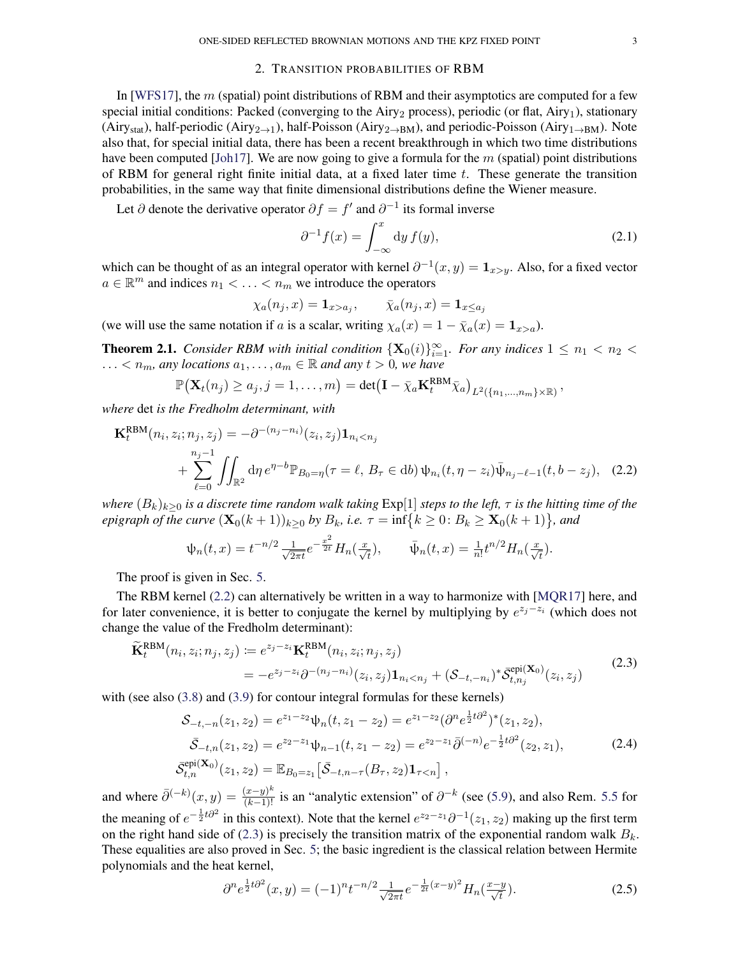## 2. TRANSITION PROBABILITIES OF RBM

In [\[WFS17\]](#page-13-5), the  $m$  (spatial) point distributions of RBM and their asymptotics are computed for a few special initial conditions: Packed (converging to the Airy<sub>2</sub> process), periodic (or flat, Airy<sub>1</sub>), stationary (Airy<sub>stat</sub>), half-periodic (Airy<sub>2→1</sub>), half-Poisson (Airy<sub>2→BM</sub>), and periodic-Poisson (Airy<sub>1→BM</sub>). Note also that, for special initial data, there has been a recent breakthrough in which two time distributions have been computed [\[Joh17\]](#page-13-10). We are now going to give a formula for the  $m$  (spatial) point distributions of RBM for general right finite initial data, at a fixed later time t. These generate the transition probabilities, in the same way that finite dimensional distributions define the Wiener measure.

Let  $\partial$  denote the derivative operator  $\partial f = f'$  and  $\partial^{-1}$  its formal inverse

<span id="page-2-5"></span><span id="page-2-1"></span>
$$
\partial^{-1} f(x) = \int_{-\infty}^{x} dy f(y), \qquad (2.1)
$$

which can be thought of as an integral operator with kernel  $\partial^{-1}(x, y) = \mathbf{1}_{x>y}$ . Also, for a fixed vector  $a \in \mathbb{R}^m$  and indices  $n_1 < \ldots < n_m$  we introduce the operators

$$
\chi_a(n_j, x) = \mathbf{1}_{x > a_j}, \qquad \bar{\chi}_a(n_j, x) = \mathbf{1}_{x \le a_j}
$$

(we will use the same notation if a is a scalar, writing  $\chi_a(x) = 1 - \overline{\chi}_a(x) = 1_{x>a}$ ).

<span id="page-2-0"></span>**Theorem 2.1.** *Consider RBM with initial condition*  $\{X_0(i)\}_{i=1}^{\infty}$ *. For any indices*  $1 \leq n_1 < n_2$ ...  $n_m$ , any locations  $a_1, \ldots, a_m \in \mathbb{R}$  and any  $t > 0$ , we have

$$
\mathbb{P}\big(\mathbf{X}_t(n_j)\geq a_j, j=1,\ldots,m\big)=\det\big(\mathbf{I}-\bar{\chi}_a\mathbf{K}_t^{\text{RBM}}\bar{\chi}_a\big)_{L^2(\{n_1,\ldots,n_m\}\times\mathbb{R})},
$$

*where* det *is the Fredholm determinant, with*

$$
\mathbf{K}_{t}^{\text{RBM}}(n_{i}, z_{i}; n_{j}, z_{j}) = -\partial^{-(n_{j}-n_{i})}(z_{i}, z_{j})\mathbf{1}_{n_{i} < n_{j}} + \sum_{\ell=0}^{n_{j}-1} \iint_{\mathbb{R}^{2}} d\eta \, e^{\eta - b} \mathbb{P}_{B_{0}=\eta}(\tau = \ell, B_{\tau} \in db) \psi_{n_{i}}(t, \eta - z_{i}) \bar{\psi}_{n_{j}-\ell-1}(t, b - z_{j}), \quad (2.2)
$$

*where*  $(B_k)_{k>0}$  *is a discrete time random walk taking*  $Exp[1]$  *steps to the left,*  $\tau$  *is the hitting time of the epigraph of the curve*  $(\mathbf{X}_0(k+1))_{k\geq 0}$  *by*  $B_k$ *, i.e.*  $\tau = \inf\{k \geq 0 : B_k \geq \mathbf{X}_0(k+1)\}$ *, and* 

$$
\psi_n(t,x) = t^{-n/2} \frac{1}{\sqrt{2\pi t}} e^{-\frac{x^2}{2t}} H_n(\frac{x}{\sqrt{t}}), \qquad \bar{\psi}_n(t,x) = \frac{1}{n!} t^{n/2} H_n(\frac{x}{\sqrt{t}}).
$$

The proof is given in Sec. [5.](#page-8-1)

The RBM kernel [\(2.2\)](#page-2-1) can alternatively be written in a way to harmonize with [\[MQR17\]](#page-13-0) here, and for later convenience, it is better to conjugate the kernel by multiplying by  $e^{z_j-z_i}$  (which does not change the value of the Fredholm determinant):

$$
\widetilde{\mathbf{K}}_{t}^{\text{RBM}}(n_{i}, z_{i}; n_{j}, z_{j}) \coloneqq e^{z_{j} - z_{i}} \mathbf{K}_{t}^{\text{RBM}}(n_{i}, z_{i}; n_{j}, z_{j}) \n= -e^{z_{j} - z_{i}} \partial^{-(n_{j} - n_{i})} (z_{i}, z_{j}) \mathbf{1}_{n_{i} < n_{j}} + (\mathcal{S}_{-t, -n_{i}})^{*} \bar{\mathcal{S}}_{t, n_{j}}^{\text{epi}}(\mathbf{X}_{0}) (z_{i}, z_{j})
$$
\n(2.3)

with (see also  $(3.8)$  and  $(3.9)$  for contour integral formulas for these kernels)

<span id="page-2-2"></span>
$$
\mathcal{S}_{-t,-n}(z_1, z_2) = e^{z_1 - z_2} \psi_n(t, z_1 - z_2) = e^{z_1 - z_2} (\partial^n e^{\frac{1}{2}t \partial^2})^*(z_1, z_2),
$$
  
\n
$$
\bar{\mathcal{S}}_{-t,n}(z_1, z_2) = e^{z_2 - z_1} \psi_{n-1}(t, z_1 - z_2) = e^{z_2 - z_1} \bar{\partial}^{(-n)} e^{-\frac{1}{2}t \partial^2}(z_2, z_1),
$$
  
\n
$$
\bar{\mathcal{S}}_{t,n}^{\text{epi}}(\mathbf{X}_0)(z_1, z_2) = \mathbb{E}_{B_0 = z_1} \left[ \bar{\mathcal{S}}_{-t,n-\tau}(B_\tau, z_2) \mathbf{1}_{\tau < n} \right],
$$
\n(2.4)

and where  $\bar{\partial}^{(-k)}(x,y) = \frac{(x-y)^k}{(k-1)!}$  is an "analytic extension" of  $\partial^{-k}$  (see [\(5.9\)](#page-11-0), and also Rem. [5.5](#page-11-1) for the meaning of  $e^{-\frac{1}{2}t\partial^2}$  in this context). Note that the kernel  $e^{z_2-z_1}\partial^{-1}(z_1, z_2)$  making up the first term on the right hand side of [\(2.3\)](#page-2-2) is precisely the transition matrix of the exponential random walk  $B_k$ . These equalities are also proved in Sec. [5;](#page-8-1) the basic ingredient is the classical relation between Hermite polynomials and the heat kernel,

<span id="page-2-4"></span><span id="page-2-3"></span>
$$
\partial^n e^{\frac{1}{2}t\partial^2}(x,y) = (-1)^n t^{-n/2} \frac{1}{\sqrt{2\pi t}} e^{-\frac{1}{2t}(x-y)^2} H_n(\frac{x-y}{\sqrt{t}}). \tag{2.5}
$$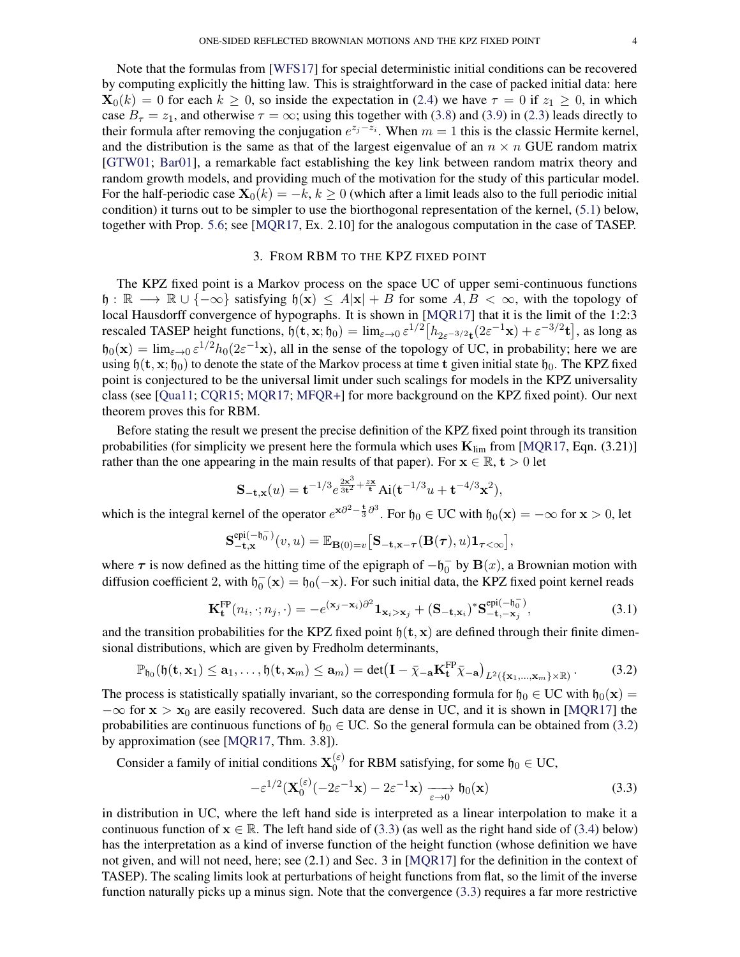Note that the formulas from [\[WFS17\]](#page-13-5) for special deterministic initial conditions can be recovered by computing explicitly the hitting law. This is straightforward in the case of packed initial data: here  $\mathbf{X}_0(k) = 0$  for each  $k \geq 0$ , so inside the expectation in [\(2.4\)](#page-2-3) we have  $\tau = 0$  if  $z_1 \geq 0$ , in which case  $B_{\tau} = z_1$ , and otherwise  $\tau = \infty$ ; using this together with [\(3.8\)](#page-5-0) and [\(3.9\)](#page-5-1) in [\(2.3\)](#page-2-2) leads directly to their formula after removing the conjugation  $e^{z_j-z_i}$ . When  $m = 1$  this is the classic Hermite kernel, and the distribution is the same as that of the largest eigenvalue of an  $n \times n$  GUE random matrix [\[GTW01;](#page-13-11) [Bar01\]](#page-12-3), a remarkable fact establishing the key link between random matrix theory and random growth models, and providing much of the motivation for the study of this particular model. For the half-periodic case  $X_0(k) = -k, k \ge 0$  (which after a limit leads also to the full periodic initial condition) it turns out to be simpler to use the biorthogonal representation of the kernel, [\(5.1\)](#page-9-0) below, together with Prop. [5.6;](#page-11-2) see [\[MQR17,](#page-13-0) Ex. 2.10] for the analogous computation in the case of TASEP.

#### 3. FROM RBM TO THE KPZ FIXED POINT

The KPZ fixed point is a Markov process on the space UC of upper semi-continuous functions h :  $\mathbb{R} \longrightarrow \mathbb{R} \cup \{-\infty\}$  satisfying  $\mathfrak{h}(\mathbf{x}) \leq A|\mathbf{x}| + B$  for some  $A, B < \infty$ , with the topology of local Hausdorff convergence of hypographs. It is shown in [\[MQR17\]](#page-13-0) that it is the limit of the 1:2:3 rescaled TASEP height functions,  $\mathfrak{h}(\mathbf{t}, \mathbf{x}; \mathfrak{h}_0) = \lim_{\varepsilon \to 0} \varepsilon^{1/2} \left[ h_{2\varepsilon^{-3/2} \mathbf{t}} (2\varepsilon^{-1} \mathbf{x}) + \varepsilon^{-3/2} \mathbf{t} \right]$ , as long as  $h_0(\mathbf{x}) = \lim_{\varepsilon \to 0} \varepsilon^{1/2} h_0(2\varepsilon^{-1}\mathbf{x})$ , all in the sense of the topology of UC, in probability; here we are using  $\mathfrak{h}(\mathbf{t}, \mathbf{x}; \mathfrak{h}_0)$  to denote the state of the Markov process at time t given initial state  $\mathfrak{h}_0$ . The KPZ fixed point is conjectured to be the universal limit under such scalings for models in the KPZ universality class (see [\[Qua11;](#page-13-12) [CQR15;](#page-12-4) [MQR17;](#page-13-0) [MFQR+\]](#page-13-13) for more background on the KPZ fixed point). Our next theorem proves this for RBM.

Before stating the result we present the precise definition of the KPZ fixed point through its transition probabilities (for simplicity we present here the formula which uses  $K_{\text{lim}}$  from [\[MQR17,](#page-13-0) Eqn. (3.21)] rather than the one appearing in the main results of that paper). For  $x \in \mathbb{R}$ ,  $t > 0$  let

$$
\mathbf{S}_{-\mathbf{t},\mathbf{x}}(u) = \mathbf{t}^{-1/3} e^{\frac{2\mathbf{x}^3}{3\mathbf{t}^2} + \frac{z\mathbf{x}}{\mathbf{t}}} \text{Ai}(\mathbf{t}^{-1/3}u + \mathbf{t}^{-4/3}\mathbf{x}^2),
$$

which is the integral kernel of the operator  $e^{x\partial^2 - \frac{t}{3}\partial^3}$ . For  $\mathfrak{h}_0 \in \text{UC}$  with  $\mathfrak{h}_0(x) = -\infty$  for  $x > 0$ , let

<span id="page-3-2"></span>
$$
\mathbf{S}^{\mathrm{epi}(-\mathfrak{h}_0^-)}_{-\mathbf{t},\mathbf{x}}(v,u) = \mathbb{E}_{\mathbf{B}(0)=v}\big[\mathbf{S}_{-\mathbf{t},\mathbf{x}-\boldsymbol{\tau}}(\mathbf{B}(\boldsymbol{\tau}),u)\mathbf{1}_{\boldsymbol{\tau}<\infty}\big],
$$

where  $\tau$  is now defined as the hitting time of the epigraph of  $-h_0^-$  by  $B(x)$ , a Brownian motion with diffusion coefficient 2, with  $\mathfrak{h}_0^-(\mathbf{x}) = \mathfrak{h}_0(-\mathbf{x})$ . For such initial data, the KPZ fixed point kernel reads

$$
\mathbf{K}_{\mathbf{t}}^{\text{FP}}(n_i, \cdot; n_j, \cdot) = -e^{(\mathbf{x}_j - \mathbf{x}_i)\partial^2} \mathbf{1}_{\mathbf{x}_i > \mathbf{x}_j} + (\mathbf{S}_{-\mathbf{t}, \mathbf{x}_i})^* \mathbf{S}_{-\mathbf{t}, -\mathbf{x}_j}^{\text{epi}(-\mathfrak{h}_0^-)},
$$
(3.1)

and the transition probabilities for the KPZ fixed point  $h(t, x)$  are defined through their finite dimensional distributions, which are given by Fredholm determinants,

$$
\mathbb{P}_{\mathfrak{h}_0}(\mathfrak{h}(\mathbf{t},\mathbf{x}_1)\leq \mathbf{a}_1,\ldots,\mathfrak{h}(\mathbf{t},\mathbf{x}_m)\leq \mathbf{a}_m)=\det(\mathbf{I}-\bar{\chi}_{-\mathbf{a}}\mathbf{K}_{\mathbf{t}}^{\mathrm{FP}}\bar{\chi}_{-\mathbf{a}})_{L^2(\{\mathbf{x}_1,\ldots,\mathbf{x}_m\}\times\mathbb{R})}\,. \tag{3.2}
$$

The process is statistically spatially invariant, so the corresponding formula for  $\mathfrak{h}_0 \in \mathcal{UC}$  with  $\mathfrak{h}_0(\mathbf{x}) =$  $-\infty$  for  $x > x_0$  are easily recovered. Such data are dense in UC, and it is shown in [\[MQR17\]](#page-13-0) the probabilities are continuous functions of  $\mathfrak{h}_0 \in \mathcal{UC}$ . So the general formula can be obtained from [\(3.2\)](#page-3-0) by approximation (see [\[MQR17,](#page-13-0) Thm. 3.8]).

Consider a family of initial conditions  $X_0^{(\varepsilon)}$  $\binom{\infty}{0}$  for RBM satisfying, for some  $\mathfrak{h}_0 \in \mathbb{U}\mathbb{C}$ ,

<span id="page-3-1"></span><span id="page-3-0"></span>
$$
-\varepsilon^{1/2}(\mathbf{X}_0^{(\varepsilon)}(-2\varepsilon^{-1}\mathbf{x}) - 2\varepsilon^{-1}\mathbf{x}) \xrightarrow[\varepsilon \to 0]{} \mathfrak{h}_0(\mathbf{x})
$$
\n(3.3)

in distribution in UC, where the left hand side is interpreted as a linear interpolation to make it a continuous function of  $x \in \mathbb{R}$ . The left hand side of [\(3.3\)](#page-3-1) (as well as the right hand side of [\(3.4\)](#page-4-1) below) has the interpretation as a kind of inverse function of the height function (whose definition we have not given, and will not need, here; see (2.1) and Sec. 3 in [\[MQR17\]](#page-13-0) for the definition in the context of TASEP). The scaling limits look at perturbations of height functions from flat, so the limit of the inverse function naturally picks up a minus sign. Note that the convergence [\(3.3\)](#page-3-1) requires a far more restrictive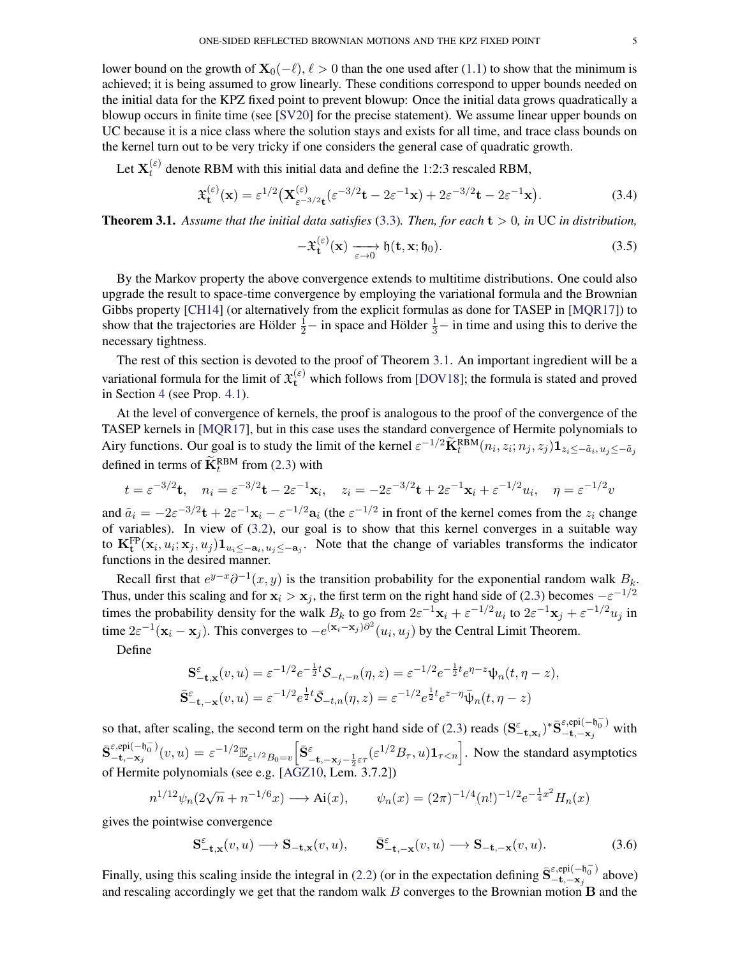lower bound on the growth of  $\mathbf{X}_0(-\ell)$ ,  $\ell > 0$  than the one used after [\(1.1\)](#page-0-0) to show that the minimum is achieved; it is being assumed to grow linearly. These conditions correspond to upper bounds needed on the initial data for the KPZ fixed point to prevent blowup: Once the initial data grows quadratically a blowup occurs in finite time (see [\[SV20\]](#page-13-14) for the precise statement). We assume linear upper bounds on UC because it is a nice class where the solution stays and exists for all time, and trace class bounds on the kernel turn out to be very tricky if one considers the general case of quadratic growth.

Let  $\mathbf{X}_t^{(\varepsilon)}$  $t_t^{(\varepsilon)}$  denote RBM with this initial data and define the 1:2:3 rescaled RBM,

$$
\mathfrak{X}_{\mathbf{t}}^{(\varepsilon)}(\mathbf{x}) = \varepsilon^{1/2} \left( \mathbf{X}_{\varepsilon^{-3/2} \mathbf{t}}^{(\varepsilon)}(\varepsilon^{-3/2} \mathbf{t} - 2\varepsilon^{-1} \mathbf{x}) + 2\varepsilon^{-3/2} \mathbf{t} - 2\varepsilon^{-1} \mathbf{x} \right). \tag{3.4}
$$

<span id="page-4-0"></span>**Theorem 3.1.** Assume that the initial data satisfies [\(3.3\)](#page-3-1). Then, for each  $t > 0$ , in UC in distribution,

<span id="page-4-2"></span><span id="page-4-1"></span>
$$
-\mathfrak{X}_{\mathbf{t}}^{(\varepsilon)}(\mathbf{x}) \xrightarrow[\varepsilon \to 0]{} \mathfrak{h}(\mathbf{t}, \mathbf{x}; \mathfrak{h}_0).
$$
 (3.5)

By the Markov property the above convergence extends to multitime distributions. One could also upgrade the result to space-time convergence by employing the variational formula and the Brownian Gibbs property [\[CH14\]](#page-12-5) (or alternatively from the explicit formulas as done for TASEP in [\[MQR17\]](#page-13-0)) to show that the trajectories are Hölder  $\frac{1}{2}$  – in space and Hölder  $\frac{1}{3}$  – in time and using this to derive the necessary tightness.

The rest of this section is devoted to the proof of Theorem [3.1.](#page-4-0) An important ingredient will be a variational formula for the limit of  $\mathfrak{X}^{(\varepsilon)}_t$  which follows from [\[DOV18\]](#page-12-0); the formula is stated and proved in Section [4](#page-7-2) (see Prop. [4.1\)](#page-7-3).

At the level of convergence of kernels, the proof is analogous to the proof of the convergence of the TASEP kernels in [\[MQR17\]](#page-13-0), but in this case uses the standard convergence of Hermite polynomials to Airy functions. Our goal is to study the limit of the kernel  $\varepsilon^{-1/2} \tilde{\mathbf{K}}_t^{\text{RBM}}(n_i, z_i; n_j, z_j) \mathbf{1}_{z_i \leq -\tilde{a}_i, u_j \leq -\tilde{a}_j}$ defined in terms of  $\mathbf{K}^{\text{RBM}}_t$  from [\(2.3\)](#page-2-2) with

$$
t = \varepsilon^{-3/2} \mathbf{t}
$$
,  $n_i = \varepsilon^{-3/2} \mathbf{t} - 2\varepsilon^{-1} \mathbf{x}_i$ ,  $z_i = -2\varepsilon^{-3/2} \mathbf{t} + 2\varepsilon^{-1} \mathbf{x}_i + \varepsilon^{-1/2} u_i$ ,  $\eta = \varepsilon^{-1/2} v$ 

and  $\tilde{a}_i = -2\varepsilon^{-3/2} \mathbf{t} + 2\varepsilon^{-1} \mathbf{x}_i - \varepsilon^{-1/2} \mathbf{a}_i$  (the  $\varepsilon^{-1/2}$  in front of the kernel comes from the  $z_i$  change of variables). In view of [\(3.2\)](#page-3-0), our goal is to show that this kernel converges in a suitable way to  $\mathbf{K_t^{FP}}(\mathbf{x}_i, u_i; \mathbf{x}_j, u_j) \mathbf{1}_{u_i \leq -\mathbf{a}_i, u_j \leq -\mathbf{a}_j}$ . Note that the change of variables transforms the indicator functions in the desired manner.

Recall first that  $e^{y-x}\partial^{-1}(x, y)$  is the transition probability for the exponential random walk  $B_k$ . Thus, under this scaling and for  $x_i > x_j$ , the first term on the right hand side of [\(2.3\)](#page-2-2) becomes  $-\varepsilon^{-1/2}$ times the probability density for the walk  $B_k$  to go from  $2\varepsilon^{-1}x_i + \varepsilon^{-1/2}u_i$  to  $2\varepsilon^{-1}x_j + \varepsilon^{-1/2}u_j$  in time  $2\varepsilon^{-1}(\mathbf{x}_i - \mathbf{x}_j)$ . This converges to  $-e^{(\mathbf{x}_i - \mathbf{x}_j)\partial^2}(u_i, u_j)$  by the Central Limit Theorem.

Define

$$
\mathbf{S}^{\varepsilon}_{-\mathbf{t},\mathbf{x}}(v,u) = \varepsilon^{-1/2} e^{-\frac{1}{2}t} \mathcal{S}_{-t,-n}(\eta,z) = \varepsilon^{-1/2} e^{-\frac{1}{2}t} e^{\eta-z} \psi_n(t,\eta-z),
$$
  

$$
\bar{\mathbf{S}}^{\varepsilon}_{-\mathbf{t},-\mathbf{x}}(v,u) = \varepsilon^{-1/2} e^{\frac{1}{2}t} \bar{\mathcal{S}}_{-t,n}(\eta,z) = \varepsilon^{-1/2} e^{\frac{1}{2}t} e^{z-\eta} \bar{\psi}_n(t,\eta-z)
$$

so that, after scaling, the second term on the right hand side of [\(2.3\)](#page-2-2) reads  $(S_{-t,x_i}^{\varepsilon})^* \bar{S}_{-t,-x_j}^{\varepsilon,epi(-\frac{1}{r_0})}$  $\epsilon, \epsilon, -\epsilon, -\epsilon, -\epsilon, j$  with  $\bar{\mathbf{S}}_{\mathbf{-t},\mathbf{-x}}^{\varepsilon,\text{epi}(-\mathfrak{h}_0^-)}$  $\epsilon, epi(-\mathfrak{h}_0^-)(v, u) = \epsilon^{-1/2} \mathbb{E}_{\epsilon^{1/2} B_0 = v} \Big[ \bar{\mathbf{S}}_{-\mathbf{t}, -\mathbf{x}_j - \frac{1}{2} \epsilon \tau}^{\epsilon} (\epsilon^{1/2} B_{\tau}, u) \mathbf{1}_{\tau < n} \Big]$ . Now the standard asymptotics of Hermite polynomials (see e.g. [\[AGZ10,](#page-12-6) Lem. 3.7.2])

$$
n^{1/12}\psi_n(2\sqrt{n} + n^{-1/6}x) \longrightarrow \text{Ai}(x), \qquad \psi_n(x) = (2\pi)^{-1/4}(n!)^{-1/2}e^{-\frac{1}{4}x^2}H_n(x)
$$

gives the pointwise convergence

<span id="page-4-3"></span>
$$
\mathbf{S}_{-\mathbf{t},\mathbf{x}}^{\varepsilon}(v,u) \longrightarrow \mathbf{S}_{-\mathbf{t},\mathbf{x}}(v,u), \qquad \bar{\mathbf{S}}_{-\mathbf{t},-\mathbf{x}}^{\varepsilon}(v,u) \longrightarrow \mathbf{S}_{-\mathbf{t},-\mathbf{x}}(v,u). \tag{3.6}
$$

Finally, using this scaling inside the integral in [\(2.2\)](#page-2-1) (or in the expectation defining  $\bar{S}_{-t,-x}^{\epsilon,epi(-\theta_{0}^{-})}$  $\epsilon, \epsilon$ <sub>pi</sub> $\epsilon$ <sub>+</sub> $\epsilon$ <sub>y</sub><sup>0</sup> above) and rescaling accordingly we get that the random walk  $B$  converges to the Brownian motion  $\bf{B}$  and the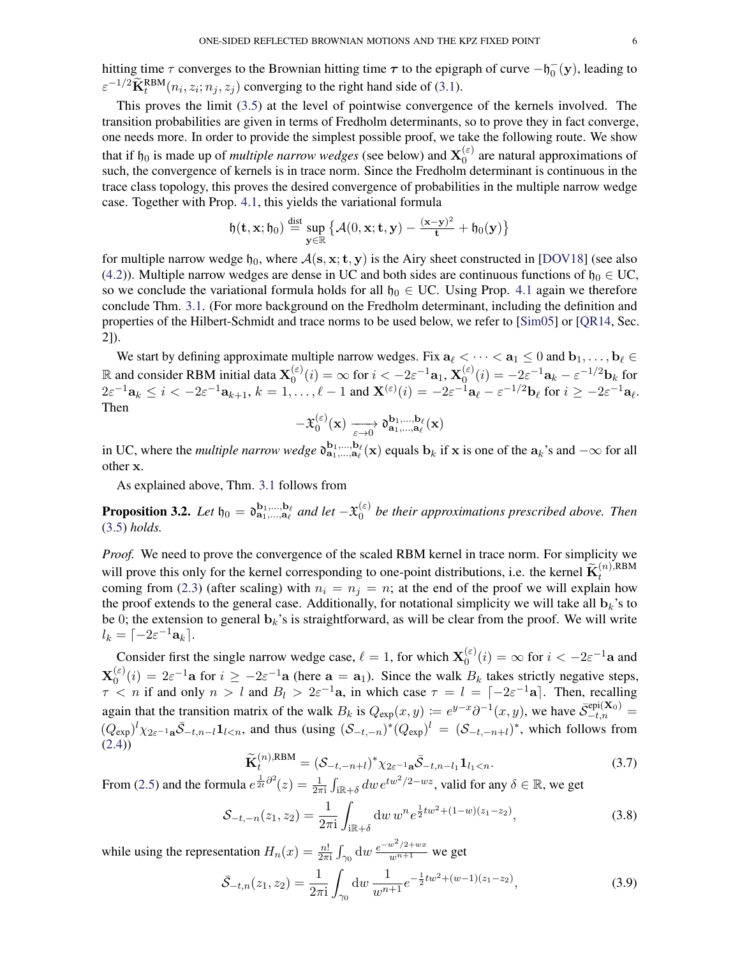hitting time  $\tau$  converges to the Brownian hitting time  $\tau$  to the epigraph of curve  $-h_0^-(y)$ , leading to  $\varepsilon^{-1/2} \widetilde{\mathbf{K}}_t^{\text{RBM}}(n_i, z_i; n_j, z_j)$  converging to the right hand side of [\(3.1\)](#page-3-2).

This proves the limit [\(3.5\)](#page-4-2) at the level of pointwise convergence of the kernels involved. The transition probabilities are given in terms of Fredholm determinants, so to prove they in fact converge, one needs more. In order to provide the simplest possible proof, we take the following route. We show that if  $\mathfrak{h}_0$  is made up of *multiple narrow wedges* (see below) and  $\mathbf{X}_0^{(\varepsilon)}$  $_0^{(ε)}$  are natural approximations of such, the convergence of kernels is in trace norm. Since the Fredholm determinant is continuous in the trace class topology, this proves the desired convergence of probabilities in the multiple narrow wedge case. Together with Prop. [4.1,](#page-7-3) this yields the variational formula

$$
\mathfrak{h}(\mathbf{t},\mathbf{x};\mathfrak{h}_0)\stackrel{\text{dist}}{=}\sup_{\mathbf{y}\in\mathbb{R}}\left\{\mathcal{A}(0,\mathbf{x};\mathbf{t},\mathbf{y})-\frac{(\mathbf{x}-\mathbf{y})^2}{\mathbf{t}}+\mathfrak{h}_0(\mathbf{y})\right\}
$$

for multiple narrow wedge  $\mathfrak{h}_0$ , where  $\mathcal{A}(s, x; t, y)$  is the Airy sheet constructed in [\[DOV18\]](#page-12-0) (see also [\(4.2\)](#page-7-1)). Multiple narrow wedges are dense in UC and both sides are continuous functions of  $\mathfrak{h}_0 \in \mathbb{U}\mathbb{C}$ , so we conclude the variational formula holds for all  $\mathfrak{h}_0 \in \mathbb{U}\mathbb{C}$ . Using Prop. [4.1](#page-7-3) again we therefore conclude Thm. [3.1.](#page-4-0) (For more background on the Fredholm determinant, including the definition and properties of the Hilbert-Schmidt and trace norms to be used below, we refer to [\[Sim05\]](#page-13-15) or [\[QR14,](#page-13-16) Sec. 2]).

We start by defining approximate multiple narrow wedges. Fix  $a_\ell < \cdots < a_1 \leq 0$  and  $b_1, \ldots, b_\ell \in$ R and consider RBM initial data  $X_0^{(\varepsilon)}$  $\mathbf{X}^{(\varepsilon)}_0(i) = \infty \text{ for } i < -2\varepsilon^{-1}\mathbf{a}_1,\, \mathbf{X}^{(\varepsilon)}_0$  $\mathbf{a}_0^{(\varepsilon)}(i) = -2\varepsilon^{-1}\mathbf{a}_k - \varepsilon^{-1/2}\mathbf{b}_k$  for  $2\varepsilon^{-1}\mathbf{a}_k \leq i < -2\varepsilon^{-1}\mathbf{a}_{k+1}, k = 1,\ldots,\ell-1$  and  $\mathbf{X}^{(\varepsilon)}(i) = -2\varepsilon^{-1}\mathbf{a}_\ell - \varepsilon^{-1/2}\mathbf{b}_\ell$  for  $i \geq -2\varepsilon^{-1}\mathbf{a}_\ell$ . Then

$$
- \mathfrak{X}^{(\varepsilon)}_{0}(\mathbf{x}) \xrightarrow[\varepsilon \to 0]{} \mathfrak{d}^{b_1,\ldots,b_\ell}_{\mathbf{a}_1,\ldots,\mathbf{a}_\ell}(\mathbf{x})
$$

in UC, where the *multiple narrow wedge*  $\mathfrak{d}_{a_1,...,a_\ell}^{b_1,...,b_\ell}(x)$  equals  $b_k$  if x is one of the  $a_k$ 's and  $-\infty$  for all other x.

As explained above, Thm. [3.1](#page-4-0) follows from

<span id="page-5-3"></span>**Proposition 3.2.** Let  $\mathfrak{h}_0 = \mathfrak{d}^{\mathbf{b}_1,...,\mathbf{b}_\ell}_{\mathbf{a}_1,...,\mathbf{a}_\ell}$  and let  $-\mathfrak{X}_0^{(\varepsilon)}$  $_0^{(\varepsilon)}$  be their approximations prescribed above. Then [\(3.5\)](#page-4-2) *holds.*

*Proof.* We need to prove the convergence of the scaled RBM kernel in trace norm. For simplicity we will prove this only for the kernel corresponding to one-point distributions, i.e. the kernel  $\widetilde{\mathbf{K}}_t^{(n),\text{RBM}}$ coming from [\(2.3\)](#page-2-2) (after scaling) with  $n_i = n_j = n$ ; at the end of the proof we will explain how the proof extends to the general case. Additionally, for notational simplicity we will take all  $\mathbf{b}_k$ 's to be 0; the extension to general  $\mathbf{b}_k$ 's is straightforward, as will be clear from the proof. We will write  $l_k = \lceil -2\varepsilon^{-1} \mathbf{a}_k \rceil.$ 

Consider first the single narrow wedge case,  $\ell = 1$ , for which  $\mathbf{X}_0^{(\varepsilon)}$  $\zeta_0^{(\varepsilon)}(i) = \infty$  for  $i < -2\varepsilon^{-1}$ **a** and  $\mathbf{X}^{(\varepsilon)}_0$  $\binom{(\varepsilon)}{0}(i) = 2\varepsilon^{-1}$ a for  $i \ge -2\varepsilon^{-1}$ a (here  $a = a_1$ ). Since the walk  $B_k$  takes strictly negative steps,  $\tau$  < *n* if and only  $n > l$  and  $B_l > 2\varepsilon^{-1}a$ , in which case  $\tau = l = [-2\varepsilon^{-1}a]$ . Then, recalling again that the transition matrix of the walk  $B_k$  is  $Q_{exp}(x, y) := e^{y-x} \partial^{-1}(x, y)$ , we have  $\bar{S}_{-t,n}^{epi(X_0)} =$  $(Q_{exp})^l \chi_{2\varepsilon^{-1} \mathbf{a}} \bar{S}_{-t,n-l} \mathbf{1}_{l \leq n}$ , and thus (using  $(S_{-t,-n})^* (Q_{exp})^l = (S_{-t,-n+l})^*$ , which follows from [\(2.4\)](#page-2-3))

<span id="page-5-2"></span><span id="page-5-1"></span><span id="page-5-0"></span>
$$
\widetilde{\mathbf{K}}_t^{(n),\text{RBM}} = (\mathcal{S}_{-t,-n+l})^* \chi_{2\varepsilon^{-1}\mathbf{a}} \bar{\mathcal{S}}_{-t,n-l_1} \mathbf{1}_{l_1 < n}.\tag{3.7}
$$

From [\(2.5\)](#page-2-4) and the formula  $e^{\frac{1}{2t}\partial^2}(z) = \frac{1}{2\pi i} \int_{i\mathbb{R}+\delta} dw \, e^{tw^2/2 - wz}$ , valid for any  $\delta \in \mathbb{R}$ , we get

$$
S_{-t,-n}(z_1, z_2) = \frac{1}{2\pi i} \int_{i\mathbb{R}+\delta} dw \, w^n e^{\frac{1}{2}tw^2 + (1-w)(z_1 - z_2)},\tag{3.8}
$$

while using the representation  $H_n(x) = \frac{n!}{2\pi i} \int_{\gamma_0} dw \frac{e^{-w^2/2 + wx}}{w^{n+1}}$  we get

$$
\bar{S}_{-t,n}(z_1, z_2) = \frac{1}{2\pi i} \int_{\gamma_0} dw \, \frac{1}{w^{n+1}} e^{-\frac{1}{2}tw^2 + (w-1)(z_1 - z_2)},\tag{3.9}
$$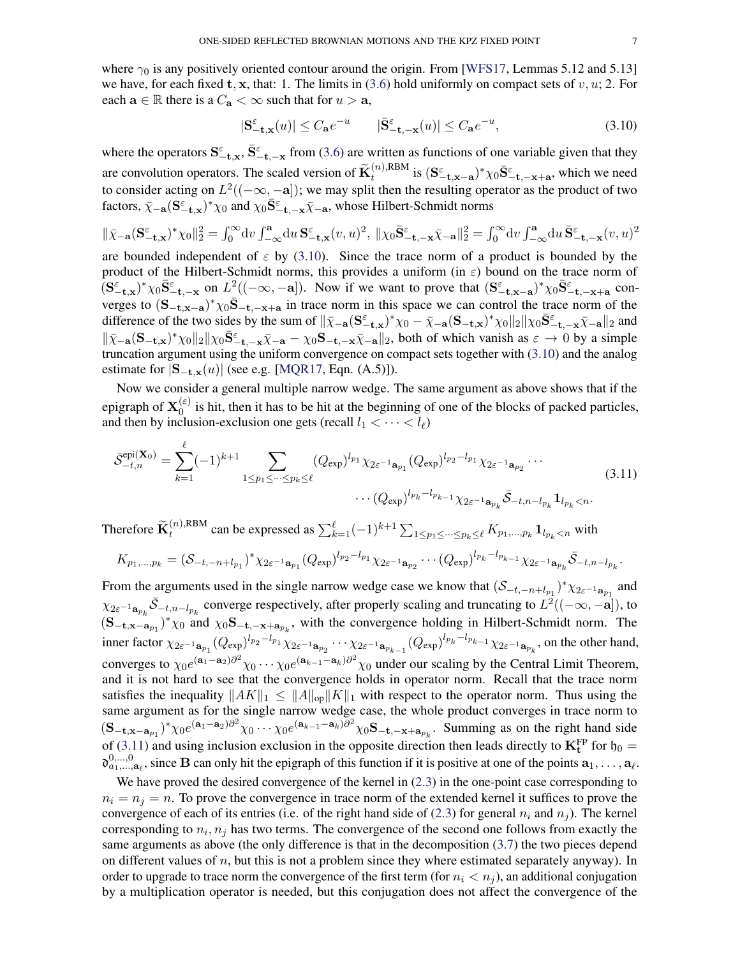where  $\gamma_0$  is any positively oriented contour around the origin. From [\[WFS17,](#page-13-5) Lemmas 5.12 and 5.13] we have, for each fixed t, x, that: 1. The limits in [\(3.6\)](#page-4-3) hold uniformly on compact sets of v, u; 2. For each  $\mathbf{a} \in \mathbb{R}$  there is a  $C_{\mathbf{a}} < \infty$  such that for  $u > \mathbf{a}$ ,

<span id="page-6-0"></span>
$$
|\mathbf{S}_{-\mathbf{t},\mathbf{x}}^{\varepsilon}(u)| \leq C_{\mathbf{a}} e^{-u} \qquad |\bar{\mathbf{S}}_{-\mathbf{t},-\mathbf{x}}^{\varepsilon}(u)| \leq C_{\mathbf{a}} e^{-u},\tag{3.10}
$$

where the operators  $S_{-t,x}^{\varepsilon}$ ,  $\bar{S}_{-t,-x}^{\varepsilon}$  from [\(3.6\)](#page-4-3) are written as functions of one variable given that they are convolution operators. The scaled version of  $\widetilde{\mathbf{K}}_t^{(n),\text{RBM}}$  is  $(\mathbf{S}_{-\mathbf{t},\mathbf{x}-\mathbf{a}}^{\varepsilon})^* \chi_0 \overline{\mathbf{S}}_{-\mathbf{t},-\mathbf{x}+\mathbf{a}}^{\varepsilon}$ , which we need to consider acting on  $L^2((-\infty, -a])$ ; we may split then the resulting operator as the product of two factors,  $\bar{\chi}_{-a}$  $({\bf S}_{-t,x}^{\epsilon})^* \chi_0$  and  $\chi_0 {\bf \bar{S}}_{-t,-x}^{\epsilon} \bar{\chi}_{-a}$ , whose Hilbert-Schmidt norms

$$
\|\bar{\chi}_{-\mathbf{a}}(\mathbf{S}^{\varepsilon}_{-\mathbf{t},\mathbf{x}})^{*}\chi_{0}\|_{2}^{2}=\int_{0}^{\infty}\mathrm{d}v\int_{-\infty}^{\mathbf{a}}\mathrm{d}u\,\mathbf{S}^{\varepsilon}_{-\mathbf{t},\mathbf{x}}(v,u)^{2},\ \|\chi_{0}\bar{\mathbf{S}}^{\varepsilon}_{-\mathbf{t},-\mathbf{x}}\bar{\chi}_{-\mathbf{a}}\|_{2}^{2}=\int_{0}^{\infty}\mathrm{d}v\int_{-\infty}^{\mathbf{a}}\mathrm{d}u\,\bar{\mathbf{S}}^{\varepsilon}_{-\mathbf{t},-\mathbf{x}}(v,u)^{2}
$$

are bounded independent of  $\varepsilon$  by [\(3.10\)](#page-6-0). Since the trace norm of a product is bounded by the product of the Hilbert-Schmidt norms, this provides a uniform (in  $\varepsilon$ ) bound on the trace norm of  $(S_{-t,x}^{\varepsilon})^* \chi_0 \bar{S}_{-t,-x}^{\varepsilon}$  on  $L^2((-\infty,-a])$ . Now if we want to prove that  $(S_{-t,x-a}^{\varepsilon})^* \chi_0 \bar{S}_{-t,-x+a}^{\varepsilon}$  converges to  $({\bf S}_{-t,x-a})^* \chi_0 \bar{\bf S}_{-t,-x+a}$  in trace norm in this space we can control the trace norm of the difference of the two sides by the sum of  $\|\bar{\chi}_{-\mathbf{a}}(\mathbf{S}_{-\mathbf{t},\mathbf{x}}^{\varepsilon})^* \chi_0 - \bar{\chi}_{-\mathbf{a}}(\mathbf{S}_{-\mathbf{t},\mathbf{x}})^* \chi_0\|_2 \|\chi_0 \bar{\mathbf{S}}_{-\mathbf{t},-\mathbf{x}}^{\varepsilon} \bar{\chi}_{-\mathbf{a}}\|_2$  and  $\|\bar{\chi}_{-a}(S_{-t,x})^* \chi_0 \|_2 \|\chi_0 \bar{S}_{-t,-x}^{\varepsilon} \bar{\chi}_{-a} - \chi_0 S_{-t,-x} \bar{\chi}_{-a} \|_2$ , both of which vanish as  $\varepsilon \to 0$  by a simple truncation argument using the uniform convergence on compact sets together with [\(3.10\)](#page-6-0) and the analog estimate for  $|S_{-t,x}(u)|$  (see e.g. [\[MQR17,](#page-13-0) Eqn. (A.5)]).

Now we consider a general multiple narrow wedge. The same argument as above shows that if the epigraph of  $\mathbf{X}_0^{(\varepsilon)}$  $\int_0^{\epsilon}$  is hit, then it has to be hit at the beginning of one of the blocks of packed particles, and then by inclusion-exclusion one gets (recall  $l_1 < \cdots < l_\ell$ )

<span id="page-6-1"></span>
$$
\bar{\mathcal{S}}_{-t,n}^{\text{epi}(\mathbf{X}_0)} = \sum_{k=1}^{\ell} (-1)^{k+1} \sum_{1 \le p_1 \le \dots \le p_k \le \ell} (Q_{\text{exp}})^{l_{p_1}} \chi_{2\varepsilon^{-1}\mathbf{a}_{p_1}} (Q_{\text{exp}})^{l_{p_2} - l_{p_1}} \chi_{2\varepsilon^{-1}\mathbf{a}_{p_2}} \dots
$$
\n
$$
\dots (Q_{\text{exp}})^{l_{p_k} - l_{p_{k-1}}} \chi_{2\varepsilon^{-1}\mathbf{a}_{p_k}} \bar{\mathcal{S}}_{-t,n-l_{p_k}} \mathbf{1}_{l_{p_k} < n}.
$$
\n(3.11)

Therefore  $\widetilde{\mathbf{K}}_t^{(n),\text{RBM}}$  can be expressed as  $\sum_{k=1}^{\ell}(-1)^{k+1}\sum_{1\leq p_1\leq \cdots\leq p_k\leq \ell}K_{p_1,\ldots,p_k}\mathbf{1}_{l_{p_k} with$ 

$$
K_{p_1,\ldots,p_k} = (\mathcal{S}_{-t,-n+l_{p_1}})^* \chi_{2\varepsilon^{-1}\mathbf{a}_{p_1}} (Q_{\exp})^{l_{p_2}-l_{p_1}} \chi_{2\varepsilon^{-1}\mathbf{a}_{p_2}} \cdots (Q_{\exp})^{l_{p_k}-l_{p_{k-1}}} \chi_{2\varepsilon^{-1}\mathbf{a}_{p_k}} \bar{\mathcal{S}}_{-t,n-l_{p_k}}.
$$

From the arguments used in the single narrow wedge case we know that  $(S_{-t,-n+l_{p_1}})^* \chi_{2\varepsilon^{-1}a_{p_1}}$  and  $\chi_{2\varepsilon^{-1}\mathbf{a}_{p_k}}\bar{\mathcal{S}}_{-t,n-l_{p_k}}$  converge respectively, after properly scaling and truncating to  $L^2((-\infty,-\mathbf{a}]),$  to  $({\bf S}_{-{\bf t}, {\bf x}-{\bf a}_{p_1}})^* \chi_0$  and  $\chi_0 {\bf S}_{-{\bf t}, -{\bf x}+{\bf a}_{p_k}}$ , with the convergence holding in Hilbert-Schmidt norm. The inner factor  $\chi_{2\varepsilon^{-1}\mathbf{a}_{p_1}}(Q_{\exp})^{l_{p_2}-l_{p_1}}\chi_{2\varepsilon^{-1}\mathbf{a}_{p_2}}\cdots\chi_{2\varepsilon^{-1}\mathbf{a}_{p_{k-1}}} (Q_{\exp})^{l_{p_k}-l_{p_{k-1}}} \chi_{2\varepsilon^{-1}\mathbf{a}_{p_k}}$ , on the other hand, converges to  $\chi_0 e^{(a_1 - a_2)\partial^2} \chi_0 \cdots \chi_0 e^{(a_{k-1} - a_k)\partial^2} \chi_0$  under our scaling by the Central Limit Theorem, and it is not hard to see that the convergence holds in operator norm. Recall that the trace norm satisfies the inequality  $||AK||_1 \leq ||A||_{op}||K||_1$  with respect to the operator norm. Thus using the same argument as for the single narrow wedge case, the whole product converges in trace norm to  $(\mathbf{S}_{-\mathbf{t},\mathbf{x}-\mathbf{a}_{p_1}})^* \chi_0 e^{(\mathbf{a}_1-\mathbf{a}_2)\partial^2} \chi_0 \cdots \chi_0 e^{(\mathbf{a}_{k-1}-\mathbf{a}_k)\partial^2} \chi_0 \mathbf{S}_{-\mathbf{t},-\mathbf{x}+\mathbf{a}_{p_k}}$ . Summing as on the right hand side of [\(3.11\)](#page-6-1) and using inclusion exclusion in the opposite direction then leads directly to  $K_t^{FP}$  for  $\mathfrak{h}_0 =$  $\mathfrak{d}_{a_1,\dots,a_\ell}^{0,\dots,0}$ , since **B** can only hit the epigraph of this function if it is positive at one of the points  $a_1,\dots,a_\ell$ .

We have proved the desired convergence of the kernel in  $(2.3)$  in the one-point case corresponding to  $n_i = n_j = n$ . To prove the convergence in trace norm of the extended kernel it suffices to prove the convergence of each of its entries (i.e. of the right hand side of [\(2.3\)](#page-2-2) for general  $n_i$  and  $n_j$ ). The kernel corresponding to  $n_i$ ,  $n_j$  has two terms. The convergence of the second one follows from exactly the same arguments as above (the only difference is that in the decomposition [\(3.7\)](#page-5-2) the two pieces depend on different values of  $n$ , but this is not a problem since they where estimated separately anyway). In order to upgrade to trace norm the convergence of the first term (for  $n_i < n_j$ ), an additional conjugation by a multiplication operator is needed, but this conjugation does not affect the convergence of the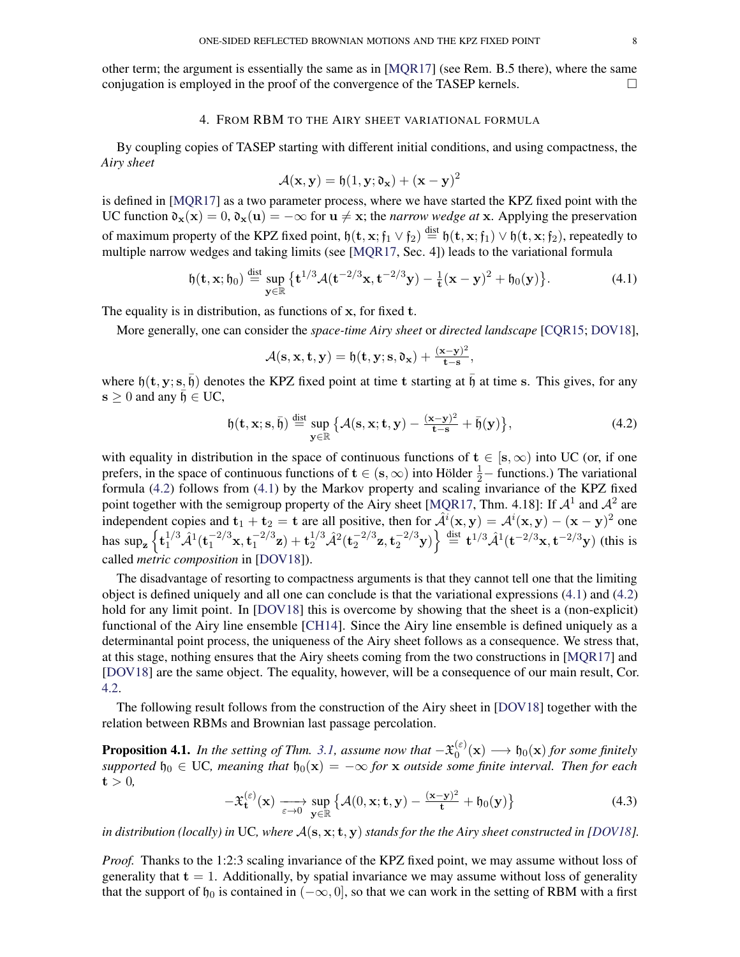other term; the argument is essentially the same as in [\[MQR17\]](#page-13-0) (see Rem. B.5 there), where the same conjugation is employed in the proof of the convergence of the TASEP kernels.  $\Box$ 

# 4. FROM RBM TO THE AIRY SHEET VARIATIONAL FORMULA

<span id="page-7-2"></span>By coupling copies of TASEP starting with different initial conditions, and using compactness, the *Airy sheet*

<span id="page-7-0"></span>
$$
\mathcal{A}(\mathbf{x}, \mathbf{y}) = \mathfrak{h}(1, \mathbf{y}; \mathfrak{d}_\mathbf{x}) + (\mathbf{x} - \mathbf{y})^2
$$

is defined in [\[MQR17\]](#page-13-0) as a two parameter process, where we have started the KPZ fixed point with the UC function  $\mathfrak{d}_{\mathbf{x}}(\mathbf{x}) = 0$ ,  $\mathfrak{d}_{\mathbf{x}}(\mathbf{u}) = -\infty$  for  $\mathbf{u} \neq \mathbf{x}$ ; the *narrow wedge at* x. Applying the preservation of maximum property of the KPZ fixed point,  $\mathfrak{h}(\mathbf{t}, \mathbf{x}; \mathfrak{f}_1 \vee \mathfrak{f}_2) \stackrel{\text{dist}}{=} \mathfrak{h}(\mathbf{t}, \mathbf{x}; \mathfrak{f}_1) \vee \mathfrak{h}(\mathbf{t}, \mathbf{x}; \mathfrak{f}_2)$ , repeatedly to multiple narrow wedges and taking limits (see [\[MQR17,](#page-13-0) Sec. 4]) leads to the variational formula

$$
\mathfrak{h}(\mathbf{t}, \mathbf{x}; \mathfrak{h}_0) \stackrel{\text{dist}}{=} \sup_{\mathbf{y} \in \mathbb{R}} \left\{ \mathbf{t}^{1/3} \mathcal{A}(\mathbf{t}^{-2/3} \mathbf{x}, \mathbf{t}^{-2/3} \mathbf{y}) - \frac{1}{\mathbf{t}} (\mathbf{x} - \mathbf{y})^2 + \mathfrak{h}_0(\mathbf{y}) \right\}.
$$
 (4.1)

The equality is in distribution, as functions of x, for fixed t.

More generally, one can consider the *space-time Airy sheet* or *directed landscape* [\[CQR15;](#page-12-4) [DOV18\]](#page-12-0),

<span id="page-7-1"></span>
$$
\mathcal{A}(\mathbf{s}, \mathbf{x}, \mathbf{t}, \mathbf{y}) = \mathfrak{h}(\mathbf{t}, \mathbf{y}; \mathbf{s}, \mathfrak{d}_{\mathbf{x}}) + \frac{(\mathbf{x} - \mathbf{y})^2}{\mathbf{t} - \mathbf{s}},
$$

where  $\mathfrak{h}(\mathbf{t}, \mathbf{y}; \mathbf{s}, \bar{\mathfrak{h}})$  denotes the KPZ fixed point at time t starting at  $\bar{\mathfrak{h}}$  at time s. This gives, for any  $\mathbf{s} \geq 0$  and any  $\mathfrak{h} \in \mathbf{UC}$ ,

$$
\mathfrak{h}(\mathbf{t}, \mathbf{x}; \mathbf{s}, \bar{\mathfrak{h}}) \stackrel{\text{dist}}{=} \sup_{\mathbf{y} \in \mathbb{R}} \left\{ \mathcal{A}(\mathbf{s}, \mathbf{x}; \mathbf{t}, \mathbf{y}) - \frac{(\mathbf{x} - \mathbf{y})^2}{\mathbf{t} - \mathbf{s}} + \bar{\mathfrak{h}}(\mathbf{y}) \right\},\tag{4.2}
$$

with equality in distribution in the space of continuous functions of  $t \in [s, \infty)$  into UC (or, if one prefers, in the space of continuous functions of  $t \in (s, \infty)$  into Hölder  $\frac{1}{2}$  – functions.) The variational formula [\(4.2\)](#page-7-1) follows from [\(4.1\)](#page-7-0) by the Markov property and scaling invariance of the KPZ fixed point together with the semigroup property of the Airy sheet [\[MQR17,](#page-13-0) Thm. 4.18]: If  $\mathcal{A}^1$  and  $\mathcal{A}^2$  are independent copies and  $t_1 + t_2 = t$  are all positive, then for  $\hat{A}^i(x, y) = A^i(x, y) - (x - y)^2$  one has  $\sup_{\mathbf{z}} \left\{ \mathbf{t}_{1}^{1/3} \hat{\mathcal{A}}^{1} (\mathbf{t}_{1}^{-2/3} \mathbf{x}, \mathbf{t}_{1}^{-2/3} \right.$  $\mathbf{t}_1^{-2/3}\mathbf{z}) + \mathbf{t}_2^{1/3} \hat{\mathcal{A}}^2 (\mathbf{t}_2^{-2/3})$  $\left\{ \frac{-2/3}{2}, \frac{t^{-2/3}}{2}y \right\} \stackrel{\text{dist}}{=} t^{1/3} \hat{\mathcal{A}}^1(t^{-2/3}x, t^{-2/3}y)$  (this is called *metric composition* in [\[DOV18\]](#page-12-0)).

The disadvantage of resorting to compactness arguments is that they cannot tell one that the limiting object is defined uniquely and all one can conclude is that the variational expressions [\(4.1\)](#page-7-0) and [\(4.2\)](#page-7-1) hold for any limit point. In [\[DOV18\]](#page-12-0) this is overcome by showing that the sheet is a (non-explicit) functional of the Airy line ensemble [\[CH14\]](#page-12-5). Since the Airy line ensemble is defined uniquely as a determinantal point process, the uniqueness of the Airy sheet follows as a consequence. We stress that, at this stage, nothing ensures that the Airy sheets coming from the two constructions in [\[MQR17\]](#page-13-0) and [\[DOV18\]](#page-12-0) are the same object. The equality, however, will be a consequence of our main result, Cor. [4.2.](#page-8-0)

The following result follows from the construction of the Airy sheet in [\[DOV18\]](#page-12-0) together with the relation between RBMs and Brownian last passage percolation.

<span id="page-7-3"></span>**Proposition 4.1.** *In the setting of Thm.* [3.1,](#page-4-0) assume now that  $-\mathfrak{X}_0^{(\varepsilon)}$  $\mathfrak{h}_0^{(\varepsilon)}(\mathbf{x}) \longrightarrow \mathfrak{h}_0(\mathbf{x})$  for some finitely  $supported$   $\mathfrak{h}_0 \in \mathbb{U}$ *C*, meaning that  $\mathfrak{h}_0(\mathbf{x}) = -\infty$  *for* x *outside some finite interval. Then for each*  $t > 0$ ,

<span id="page-7-4"></span>
$$
-\mathfrak{X}_{\mathbf{t}}^{(\varepsilon)}(\mathbf{x}) \xrightarrow[\varepsilon \to 0]{} \sup_{\mathbf{y} \in \mathbb{R}} \left\{ \mathcal{A}(0, \mathbf{x}; \mathbf{t}, \mathbf{y}) - \frac{(\mathbf{x} - \mathbf{y})^2}{\mathbf{t}} + \mathfrak{h}_0(\mathbf{y}) \right\}
$$
(4.3)

*in distribution (locally) in* UC, where  $A(s, x; t, y)$  *stands for the the Airy sheet constructed in [\[DOV18\]](#page-12-0).* 

*Proof.* Thanks to the 1:2:3 scaling invariance of the KPZ fixed point, we may assume without loss of generality that  $t = 1$ . Additionally, by spatial invariance we may assume without loss of generality that the support of  $\mathfrak{h}_0$  is contained in  $(-\infty, 0]$ , so that we can work in the setting of RBM with a first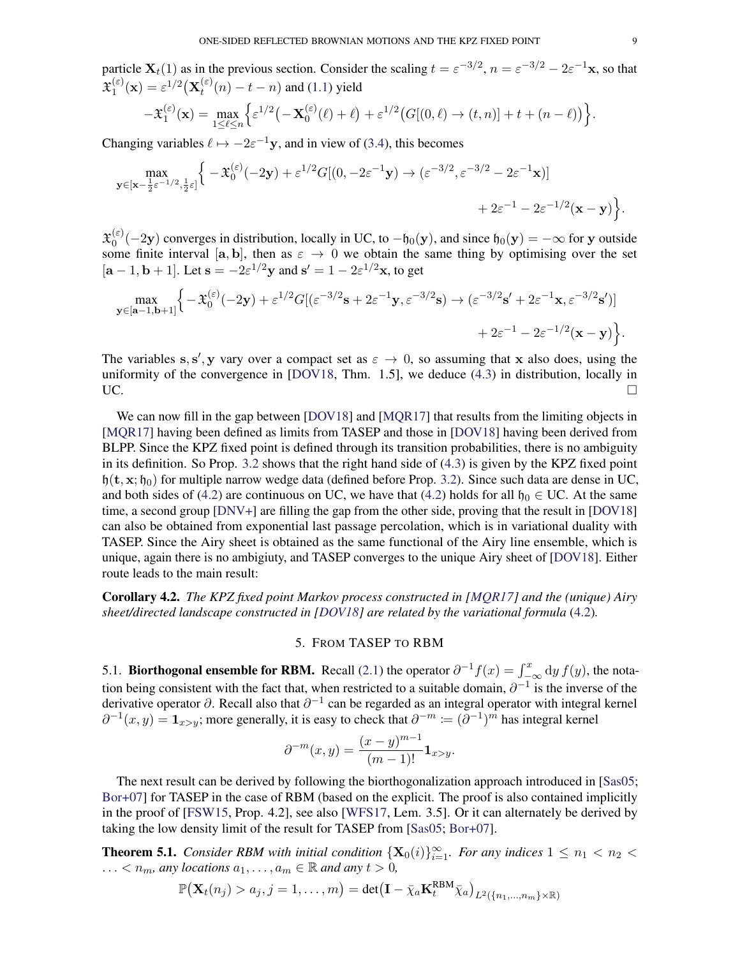particle  $\mathbf{X}_t(1)$  as in the previous section. Consider the scaling  $t = \varepsilon^{-3/2}$ ,  $n = \varepsilon^{-3/2} - 2\varepsilon^{-1}\mathbf{x}$ , so that  $\mathfrak{X}_1^{(\varepsilon)}$  $\mathbf{X}^{(\varepsilon)}_1(\mathbf{x}) = \varepsilon^{1/2} \big( \mathbf{X}^{(\varepsilon)}_t$  $t_t^{(\varepsilon)}(n) - t - n$  and [\(1.1\)](#page-0-0) yield

$$
-\mathfrak{X}_1^{(\varepsilon)}(\mathbf{x}) = \max_{1 \leq \ell \leq n} \left\{ \varepsilon^{1/2} \left( -\mathbf{X}_0^{(\varepsilon)}(\ell) + \ell \right) + \varepsilon^{1/2} \left( G[(0,\ell) \to (t,n)] + t + (n-\ell) \right) \right\}.
$$

Changing variables  $\ell \mapsto -2\varepsilon^{-1}y$ , and in view of [\(3.4\)](#page-4-1), this becomes

$$
\max_{\mathbf{y}\in[\mathbf{x}-\frac{1}{2}\varepsilon^{-1/2},\frac{1}{2}\varepsilon]}\Big\{-\mathfrak{X}_{0}^{(\varepsilon)}(-2\mathbf{y})+\varepsilon^{1/2}G[(0,-2\varepsilon^{-1}\mathbf{y})\to(\varepsilon^{-3/2},\varepsilon^{-3/2}-2\varepsilon^{-1}\mathbf{x})] +2\varepsilon^{-1}-2\varepsilon^{-1/2}(\mathbf{x}-\mathbf{y})\Big\}.
$$

 $\mathfrak{X}_0^{(\varepsilon)}$  $\phi_0^{(\varepsilon)}(-2y)$  converges in distribution, locally in UC, to  $-\mathfrak{h}_0(y)$ , and since  $\mathfrak{h}_0(y) = -\infty$  for y outside some finite interval [a, b], then as  $\varepsilon \to 0$  we obtain the same thing by optimising over the set  $[\mathbf{a}-1, \mathbf{b}+1]$ . Let  $\mathbf{s} = -2\varepsilon^{1/2}\mathbf{y}$  and  $\mathbf{s}' = 1 - 2\varepsilon^{1/2}\mathbf{x}$ , to get

$$
\max_{\mathbf{y}\in[\mathbf{a}-1,\mathbf{b}+1]}\Big\{-\mathfrak{X}_{0}^{(\varepsilon)}(-2\mathbf{y})+\varepsilon^{1/2}G[(\varepsilon^{-3/2}\mathbf{s}+2\varepsilon^{-1}\mathbf{y},\varepsilon^{-3/2}\mathbf{s})\to(\varepsilon^{-3/2}\mathbf{s}'+2\varepsilon^{-1}\mathbf{x},\varepsilon^{-3/2}\mathbf{s}')]+\,2\varepsilon^{-1}-2\varepsilon^{-1/2}(\mathbf{x}-\mathbf{y})\Big\}.
$$

The variables s, s', y vary over a compact set as  $\varepsilon \to 0$ , so assuming that x also does, using the uniformity of the convergence in [\[DOV18,](#page-12-0) Thm. 1.5], we deduce [\(4.3\)](#page-7-4) in distribution, locally in UC.

We can now fill in the gap between [\[DOV18\]](#page-12-0) and [\[MQR17\]](#page-13-0) that results from the limiting objects in [\[MQR17\]](#page-13-0) having been defined as limits from TASEP and those in [\[DOV18\]](#page-12-0) having been derived from BLPP. Since the KPZ fixed point is defined through its transition probabilities, there is no ambiguity in its definition. So Prop. [3.2](#page-5-3) shows that the right hand side of [\(4.3\)](#page-7-4) is given by the KPZ fixed point  $h(t, x; h_0)$  for multiple narrow wedge data (defined before Prop. [3.2\)](#page-5-3). Since such data are dense in UC, and both sides of [\(4.2\)](#page-7-1) are continuous on UC, we have that (4.2) holds for all  $\mathfrak{h}_0 \in \mathbb{U}C$ . At the same time, a second group [\[DNV+\]](#page-12-2) are filling the gap from the other side, proving that the result in [\[DOV18\]](#page-12-0) can also be obtained from exponential last passage percolation, which is in variational duality with TASEP. Since the Airy sheet is obtained as the same functional of the Airy line ensemble, which is unique, again there is no ambigiuty, and TASEP converges to the unique Airy sheet of [\[DOV18\]](#page-12-0). Either route leads to the main result:

<span id="page-8-0"></span>Corollary 4.2. *The KPZ fixed point Markov process constructed in [\[MQR17\]](#page-13-0) and the (unique) Airy sheet/directed landscape constructed in [\[DOV18\]](#page-12-0) are related by the variational formula* [\(4.2\)](#page-7-1)*.*

### 5. FROM TASEP TO RBM

<span id="page-8-1"></span>5.1. **Biorthogonal ensemble for RBM.** Recall [\(2.1\)](#page-2-5) the operator  $\partial^{-1} f(x) = \int_{-\infty}^{x} dy f(y)$ , the notation being consistent with the fact that, when restricted to a suitable domain,  $\partial^{-1}$  is the inverse of the derivative operator  $\partial$ . Recall also that  $\partial^{-1}$  can be regarded as an integral operator with integral kernel  $\partial^{-1}(x,y) = \mathbf{1}_{x>y}$ ; more generally, it is easy to check that  $\partial^{-m} := (\partial^{-1})^m$  has integral kernel

$$
\partial^{-m}(x,y) = \frac{(x-y)^{m-1}}{(m-1)!} \mathbf{1}_{x>y}.
$$

The next result can be derived by following the biorthogonalization approach introduced in [\[Sas05;](#page-13-17) [Bor+07\]](#page-12-7) for TASEP in the case of RBM (based on the explicit. The proof is also contained implicitly in the proof of [\[FSW15,](#page-13-18) Prop. 4.2], see also [\[WFS17,](#page-13-5) Lem. 3.5]. Or it can alternately be derived by taking the low density limit of the result for TASEP from [\[Sas05;](#page-13-17) [Bor+07\]](#page-12-7).

<span id="page-8-2"></span>**Theorem 5.1.** *Consider RBM with initial condition*  $\{X_0(i)\}_{i=1}^{\infty}$ *. For any indices*  $1 \leq n_1 < n_2$ ...  $\lt n_m$ , any locations  $a_1, \ldots, a_m \in \mathbb{R}$  and any  $t > 0$ ,

$$
\mathbb{P}\big(\mathbf{X}_t(n_j)>a_j, j=1,\ldots,m\big)=\det\bigl(\mathbf{I}-\bar{\chi}_a\mathbf{K}^{\text{RBM}}_t\bar{\chi}_a\bigr)_{L^2(\{n_1,...,n_m\}\times\mathbb{R})}
$$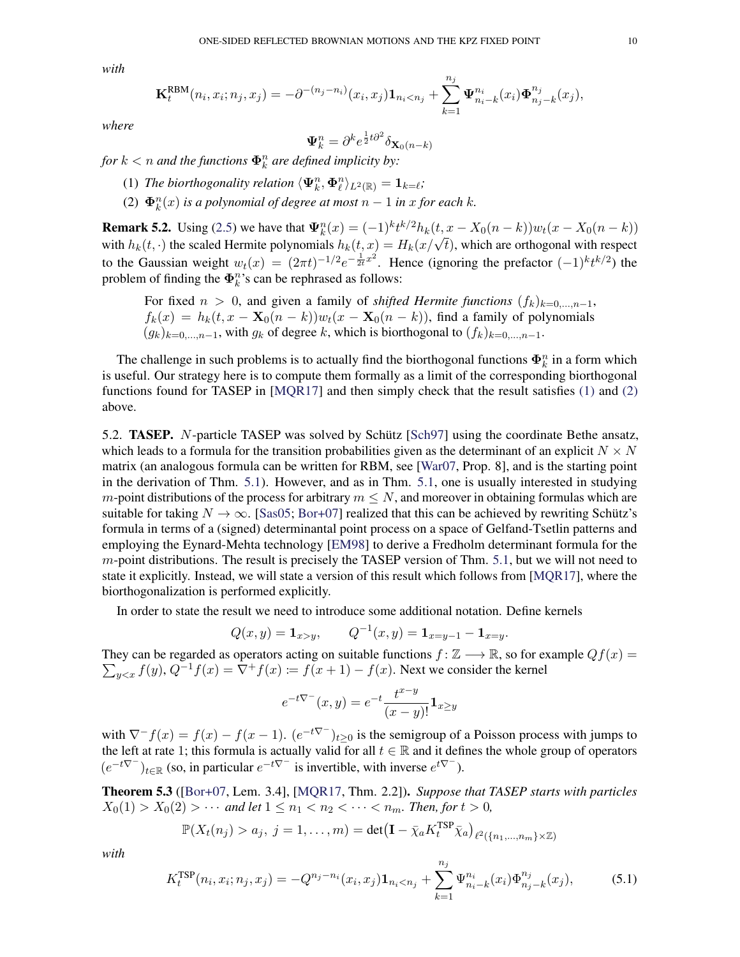*with*

$$
\mathbf{K}_{t}^{\text{RBM}}(n_{i}, x_{i}; n_{j}, x_{j}) = -\partial^{-(n_{j}-n_{i})}(x_{i}, x_{j})\mathbf{1}_{n_{i} < n_{j}} + \sum_{k=1}^{n_{j}} \Psi_{n_{i}-k}^{n_{i}}(x_{i})\Phi_{n_{j}-k}^{n_{j}}(x_{j}),
$$

*where*

$$
\mathbf{\Psi}_k^n = \partial^k e^{\frac{1}{2}t\partial^2} \delta_{\mathbf{X}_0(n-k)}
$$

for  $k < n$  and the functions  $\mathbf{\Phi}_k^n$  are defined implicity by:

- <span id="page-9-1"></span>(1) *The biorthogonality relation*  $\langle \Psi_k^n, \Phi_\ell^n \rangle_{L^2(\mathbb{R})} = \mathbf{1}_{k=\ell}$ ;
- <span id="page-9-2"></span>(2)  $\mathbf{\Phi}_k^n(x)$  *is a polynomial of degree at most*  $n-1$  *in x for each k.*

**Remark 5.2.** Using [\(2.5\)](#page-2-4) we have that  $\Psi_k^n(x) = (-1)^k t^{k/2} h_k(t, x - X_0(n-k)) w_t(x - X_0(n-k))$ **NEMART S.2.** Using (2.3) we have that  $\Psi_k(x) = (-1)^n t^{n-k} h_k(x, x - X_0(n - k)) w_t(x - X_0(n - k))$ <br>with  $h_k(t, \cdot)$  the scaled Hermite polynomials  $h_k(t, x) = H_k(x/\sqrt{t})$ , which are orthogonal with respect to the Gaussian weight  $w_t(x) = (2\pi t)^{-1/2} e^{-\frac{1}{2t}x^2}$ . Hence (ignoring the prefactor  $(-1)^k t^{k/2}$ ) the problem of finding the  $\mathbf{\Phi}_k^n$ 's can be rephrased as follows:

For fixed  $n > 0$ , and given a family of *shifted Hermite functions*  $(f_k)_{k=0,\dots,n-1}$ ,  $f_k(x) = h_k(t, x - \mathbf{X}_0(n-k))w_t(x - \mathbf{X}_0(n-k))$ , find a family of polynomials  $(g_k)_{k=0,\ldots,n-1}$ , with  $g_k$  of degree k, which is biorthogonal to  $(f_k)_{k=0,\ldots,n-1}$ .

The challenge in such problems is to actually find the biorthogonal functions  $\Phi_k^n$  in a form which is useful. Our strategy here is to compute them formally as a limit of the corresponding biorthogonal functions found for TASEP in [\[MQR17\]](#page-13-0) and then simply check that the result satisfies [\(1\)](#page-9-1) and [\(2\)](#page-9-2) above.

5.2. TASEP. N-particle TASEP was solved by Schütz [\[Sch97\]](#page-13-19) using the coordinate Bethe ansatz, which leads to a formula for the transition probabilities given as the determinant of an explicit  $N \times N$ matrix (an analogous formula can be written for RBM, see [\[War07,](#page-13-3) Prop. 8], and is the starting point in the derivation of Thm. [5.1\)](#page-8-2). However, and as in Thm. [5.1,](#page-8-2) one is usually interested in studying m-point distributions of the process for arbitrary  $m \leq N$ , and moreover in obtaining formulas which are suitable for taking  $N \to \infty$ . [\[Sas05;](#page-13-17) [Bor+07\]](#page-12-7) realized that this can be achieved by rewriting Schütz's formula in terms of a (signed) determinantal point process on a space of Gelfand-Tsetlin patterns and employing the Eynard-Mehta technology [\[EM98\]](#page-13-20) to derive a Fredholm determinant formula for the m-point distributions. The result is precisely the TASEP version of Thm. [5.1,](#page-8-2) but we will not need to state it explicitly. Instead, we will state a version of this result which follows from [\[MQR17\]](#page-13-0), where the biorthogonalization is performed explicitly.

In order to state the result we need to introduce some additional notation. Define kernels

$$
Q(x,y) = \mathbf{1}_{x>y}
$$
,  $Q^{-1}(x,y) = \mathbf{1}_{x=y-1} - \mathbf{1}_{x=y}$ .

They can be regarded as operators acting on suitable functions  $f : \mathbb{Z} \longrightarrow \mathbb{R}$ , so for example  $Qf(x) =$  $\sum_{y \leq x} f(y)$ ,  $Q^{-1}f(x) = \overline{\nabla} + f(x) := f(x+1) - f(x)$ . Next we consider the kernel

<span id="page-9-0"></span>
$$
e^{-t\nabla^{-}}(x,y) = e^{-t} \frac{t^{x-y}}{(x-y)!} \mathbf{1}_{x \ge y}
$$

with  $\nabla^- f(x) = f(x) - f(x-1)$ .  $(e^{-t\nabla^-})_{t\geq 0}$  is the semigroup of a Poisson process with jumps to the left at rate 1; this formula is actually valid for all  $t \in \mathbb{R}$  and it defines the whole group of operators  $(e^{-t\nabla^-})_{t\in\mathbb{R}}$  (so, in particular  $e^{-t\nabla^-}$  is invertible, with inverse  $e^{t\nabla^-}$ ).

Theorem 5.3 ([\[Bor+07,](#page-12-7) Lem. 3.4], [\[MQR17,](#page-13-0) Thm. 2.2]). *Suppose that TASEP starts with particles*  $X_0(1) > X_0(2) > \cdots$  and let  $1 \le n_1 < n_2 < \cdots < n_m$ . Then, for  $t > 0$ ,

$$
\mathbb{P}(X_t(n_j) > a_j, \ j = 1, \dots, m) = \det(\mathbf{I} - \bar{\chi}_a K_t^{\text{TSP}} \bar{\chi}_a)_{\ell^2(\{n_1, \dots, n_m\} \times \mathbb{Z})}
$$

*with*

$$
K_t^{\text{TSP}}(n_i, x_i; n_j, x_j) = -Q^{n_j - n_i}(x_i, x_j) \mathbf{1}_{n_i < n_j} + \sum_{k=1}^{n_j} \Psi_{n_i - k}^{n_i}(x_i) \Phi_{n_j - k}^{n_j}(x_j),\tag{5.1}
$$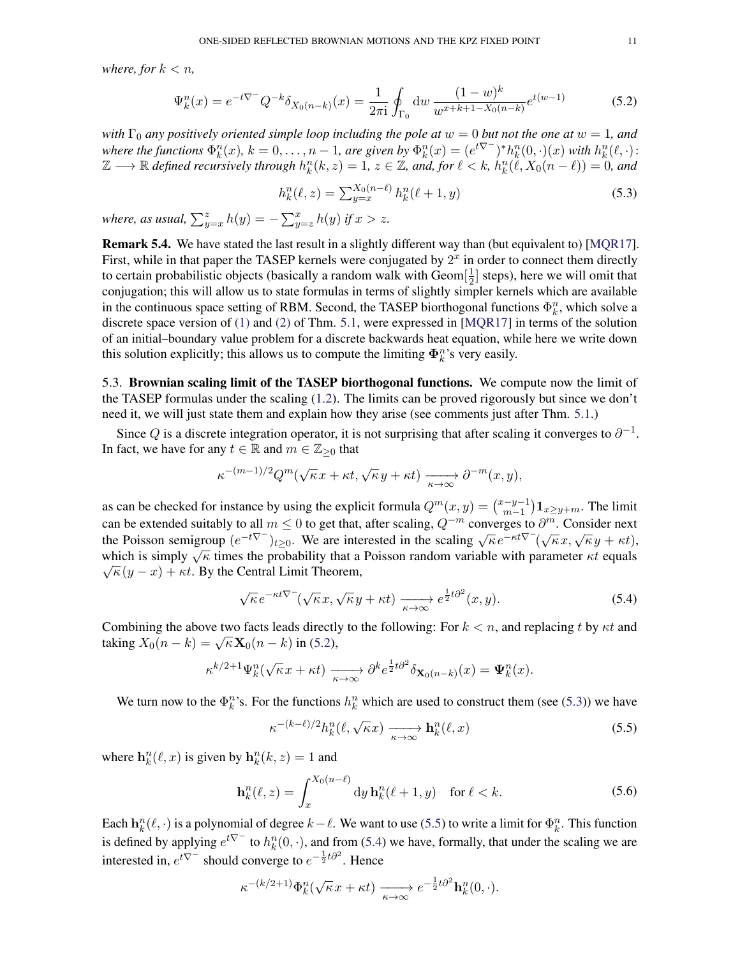*where, for*  $k < n$ *,* 

$$
\Psi_k^n(x) = e^{-t\nabla^-} Q^{-k} \delta_{X_0(n-k)}(x) = \frac{1}{2\pi i} \oint_{\Gamma_0} dw \, \frac{(1-w)^k}{w^{x+k+1-X_0(n-k)}} e^{t(w-1)} \tag{5.2}
$$

*with*  $\Gamma_0$  *any positively oriented simple loop including the pole at*  $w = 0$  *but not the one at*  $w = 1$ *, and* where the functions  $\Phi_k^n(x)$ ,  $k = 0, \ldots, n - 1$ , are given by  $\Phi_k^n(x) = (e^{t\nabla^-})^* h_k^n(0, \cdot)(x)$  with  $h_k^n(\ell, \cdot)$ :  $\mathbb{Z} \longrightarrow \mathbb{R}$  defined recursively through  $h_k^n(k, z) = 1, z \in \mathbb{Z}$ , and, for  $\ell < k$ ,  $h_k^n(\ell, X_0(n - \ell)) = 0$ , and

<span id="page-10-1"></span><span id="page-10-0"></span>
$$
h_k^n(\ell, z) = \sum_{y=x}^{X_0(n-\ell)} h_k^n(\ell+1, y)
$$
\n(5.3)

*where, as usual,*  $\sum_{y=x}^{z} h(y) = -\sum_{y=z}^{x} h(y)$  *if*  $x > z$ *.* 

Remark 5.4. We have stated the last result in a slightly different way than (but equivalent to) [\[MQR17\]](#page-13-0). First, while in that paper the TASEP kernels were conjugated by  $2<sup>x</sup>$  in order to connect them directly to certain probabilistic objects (basically a random walk with  $Geom[\frac{1}{2}]$  $\frac{1}{2}$  steps), here we will omit that conjugation; this will allow us to state formulas in terms of slightly simpler kernels which are available in the continuous space setting of RBM. Second, the TASEP biorthogonal functions  $\Phi_k^n$ , which solve a discrete space version of [\(1\)](#page-9-1) and [\(2\)](#page-9-2) of Thm. [5.1,](#page-8-2) were expressed in [\[MQR17\]](#page-13-0) in terms of the solution of an initial–boundary value problem for a discrete backwards heat equation, while here we write down this solution explicitly; this allows us to compute the limiting  $\Phi_k^n$ 's very easily.

5.3. Brownian scaling limit of the TASEP biorthogonal functions. We compute now the limit of the TASEP formulas under the scaling [\(1.2\)](#page-1-0). The limits can be proved rigorously but since we don't need it, we will just state them and explain how they arise (see comments just after Thm. [5.1.](#page-8-2))

Since Q is a discrete integration operator, it is not surprising that after scaling it converges to  $\partial^{-1}$ . In fact, we have for any  $t \in \mathbb{R}$  and  $m \in \mathbb{Z}_{\geq 0}$  that

$$
\kappa^{-(m-1)/2}Q^m(\sqrt{\kappa}x + \kappa t, \sqrt{\kappa}y + \kappa t) \xrightarrow[\kappa \to \infty]{} \partial^{-m}(x, y),
$$

as can be checked for instance by using the explicit formula  $Q^m(x, y) = \binom{x-y-1}{m-1}$  $\binom{-y-1}{m-1}$   $\mathbf{1}_{x\geq y+m}$ . The limit can be extended suitably to all  $m \le 0$  to get that, after scaling,  $Q^{-m}$  converges to  $\partial^m$ . Consider next the Poisson semigroup  $(e^{-t\nabla^-})_{t\geq 0}$ . We are interested in the scaling  $\sqrt{\kappa}e^{-\kappa t\nabla^-}(\sqrt{\kappa}x, \sqrt{\kappa}y + \kappa t)$ , which is simply  $\sqrt{\kappa}$  times the probability that a Poisson random variable with parameter  $\kappa t$  equals  $\sqrt{\kappa}(y-x) + \kappa t$ . By the Central Limit Theorem,

$$
\sqrt{\kappa}e^{-\kappa t\nabla^{-}}(\sqrt{\kappa}x,\sqrt{\kappa}y+\kappa t)\xrightarrow[\kappa\to\infty]{}e^{\frac{1}{2}t\partial^{2}}(x,y).
$$
\n(5.4)

Combining the above two facts leads directly to the following: For  $k < n$ , and replacing t by  $\kappa t$  and Combining the above two racts reads direct<br>taking  $X_0(n-k) = \sqrt{\kappa} \mathbf{X}_0(n-k)$  in [\(5.2\)](#page-10-0),

$$
\kappa^{k/2+1} \Psi_k^n(\sqrt{\kappa}x + \kappa t) \xrightarrow[\kappa \to \infty]{} \partial^k e^{\frac{1}{2}t \partial^2} \delta_{\mathbf{X}_0(n-k)}(x) = \Psi_k^n(x).
$$

We turn now to the  $\Phi_k^n$ 's. For the functions  $h_k^n$  which are used to construct them (see [\(5.3\)](#page-10-1)) we have

<span id="page-10-4"></span><span id="page-10-3"></span><span id="page-10-2"></span>
$$
\kappa^{-(k-\ell)/2} h_k^n(\ell, \sqrt{\kappa}x) \xrightarrow[\kappa \to \infty]{} \mathbf{h}_k^n(\ell, x) \tag{5.5}
$$

where  $\mathbf{h}_k^n(\ell, x)$  is given by  $\mathbf{h}_k^n(k, z) = 1$  and

$$
\mathbf{h}_k^n(\ell, z) = \int_x^{X_0(n-\ell)} \mathrm{d}y \,\mathbf{h}_k^n(\ell+1, y) \quad \text{for } \ell < k. \tag{5.6}
$$

Each  $h_k^n(\ell, \cdot)$  is a polynomial of degree  $k-\ell$ . We want to use [\(5.5\)](#page-10-2) to write a limit for  $\Phi_k^n$ . This function is defined by applying  $e^{t\nabla^-}$  to  $h_k^n(0, \cdot)$ , and from [\(5.4\)](#page-10-3) we have, formally, that under the scaling we are interested in,  $e^{t\nabla^-}$  should converge to  $e^{-\frac{1}{2}t\partial^2}$ . Hence

$$
\kappa^{-(k/2+1)} \Phi_k^n(\sqrt{\kappa}x + \kappa t) \xrightarrow[\kappa \to \infty]{} e^{-\frac{1}{2}t\partial^2} \mathbf{h}_k^n(0, \cdot).
$$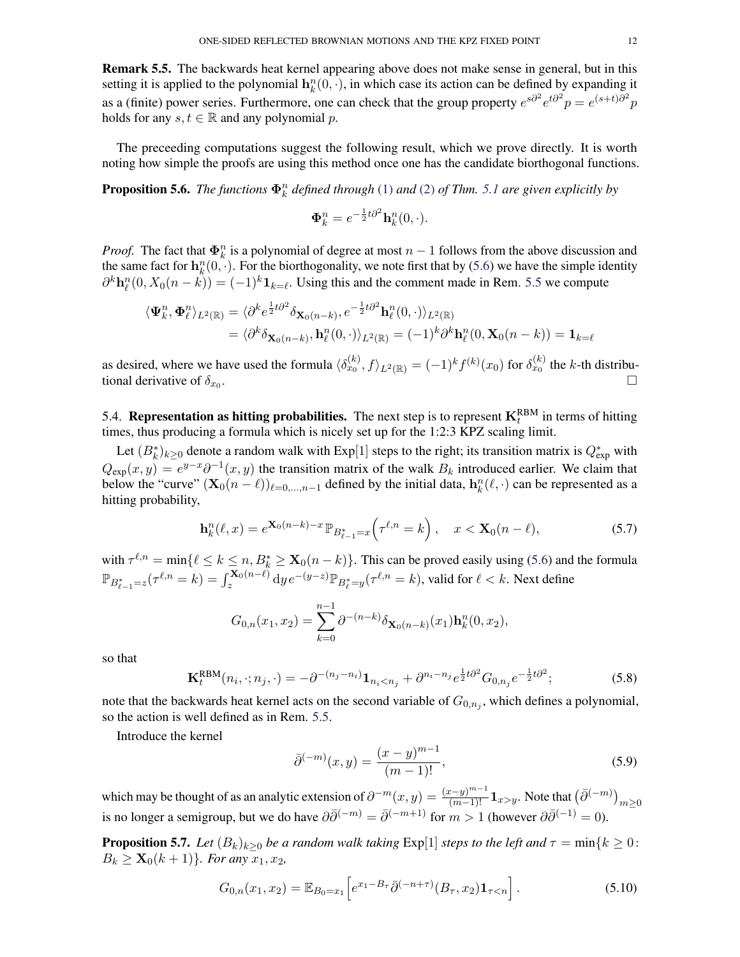<span id="page-11-1"></span>Remark 5.5. The backwards heat kernel appearing above does not make sense in general, but in this setting it is applied to the polynomial  $h_k^n(0, \cdot)$ , in which case its action can be defined by expanding it as a (finite) power series. Furthermore, one can check that the group property  $e^{s\partial^2}e^{t\partial^2}p = e^{(s+t)\partial^2}p$ holds for any  $s, t \in \mathbb{R}$  and any polynomial p.

The preceeding computations suggest the following result, which we prove directly. It is worth noting how simple the proofs are using this method once one has the candidate biorthogonal functions.

<span id="page-11-2"></span>**Proposition 5.6.** The functions  $\mathbf{\Phi}_k^n$  defined through [\(1\)](#page-9-1) and [\(2\)](#page-9-2) of Thm. [5.1](#page-8-2) are given explicitly by

$$
\mathbf{\Phi}_k^n = e^{-\frac{1}{2}t\partial^2} \mathbf{h}_k^n(0, \cdot).
$$

*Proof.* The fact that  $\Phi_k^n$  is a polynomial of degree at most  $n-1$  follows from the above discussion and the same fact for  $\mathbf{h}_k^n(0, \cdot)$ . For the biorthogonality, we note first that by [\(5.6\)](#page-10-4) we have the simple identity  $\partial^k \mathbf{h}_\ell^n(0, X_0(n-k)) = (-1)^k \mathbf{1}_{k=\ell}$ . Using this and the comment made in Rem. [5.5](#page-11-1) we compute

$$
\langle \mathbf{\Psi}_k^n, \mathbf{\Phi}_\ell^n \rangle_{L^2(\mathbb{R})} = \langle \partial^k e^{\frac{1}{2}t \partial^2} \delta_{\mathbf{X}_0(n-k)}, e^{-\frac{1}{2}t \partial^2} \mathbf{h}_\ell^n(0, \cdot) \rangle_{L^2(\mathbb{R})}
$$
  
= 
$$
\langle \partial^k \delta_{\mathbf{X}_0(n-k)}, \mathbf{h}_\ell^n(0, \cdot) \rangle_{L^2(\mathbb{R})} = (-1)^k \partial^k \mathbf{h}_\ell^n(0, \mathbf{X}_0(n-k)) = \mathbf{1}_{k=\ell}
$$

as desired, where we have used the formula  $\langle \delta_{x_0}^{(k)}, f \rangle_{L^2(\mathbb{R})} = (-1)^k f^{(k)}(x_0)$  for  $\delta_{x_0}^{(k)}$  the k-th distributional derivative of  $\delta_{x_0}$ . .

5.4. **Representation as hitting probabilities.** The next step is to represent  $\mathbf{K}^{\text{RBM}}_t$  in terms of hitting times, thus producing a formula which is nicely set up for the 1:2:3 KPZ scaling limit.

Let  $(B_k^*)_{k\geq 0}$  denote a random walk with Exp[1] steps to the right; its transition matrix is  $Q_{\text{exp}}^*$  with  $Q_{\text{exp}}(x, y) = e^{y-x} \partial^{-1}(x, y)$  the transition matrix of the walk  $B_k$  introduced earlier. We claim that below the "curve"  $(\mathbf{X}_0(n-\ell))_{\ell=0,\dots,n-1}$  defined by the initial data,  $\mathbf{h}_k^n(\ell,\cdot)$  can be represented as a hitting probability,

$$
\mathbf{h}_k^n(\ell, x) = e^{\mathbf{X}_0(n-k) - x} \mathbb{P}_{B_{\ell-1}^* = x} \left( \tau^{\ell, n} = k \right), \quad x < \mathbf{X}_0(n-\ell), \tag{5.7}
$$

with  $\tau^{\ell,n} = \min\{\ell \leq k \leq n, B_k^* \geq \mathbf{X}_0(n-k)\}\.$  This can be proved easily using [\(5.6\)](#page-10-4) and the formula  $\mathbb{P}_{B_{\ell-1}^*=z}(\tau^{\ell,n}=k)=\int_{z}^{\mathbf{X}_0(n-\ell)}\mathrm{d}y\,e^{-(y-z)}\mathbb{P}_{B_{\ell}^*=y}(\tau^{\ell,n}=k),$  valid for  $\ell < k.$  Next define

<span id="page-11-3"></span>
$$
G_{0,n}(x_1,x_2) = \sum_{k=0}^{n-1} \partial^{-(n-k)} \delta_{\mathbf{X}_0(n-k)}(x_1) \mathbf{h}_k^n(0,x_2),
$$

so that

$$
\mathbf{K}_{t}^{\text{RBM}}(n_{i}, \cdot; n_{j}, \cdot) = -\partial^{-(n_{j}-n_{i})} \mathbf{1}_{n_{i} < n_{j}} + \partial^{n_{i}-n_{j}} e^{\frac{1}{2}t\partial^{2}} G_{0,n_{j}} e^{-\frac{1}{2}t\partial^{2}};
$$
(5.8)

note that the backwards heat kernel acts on the second variable of  $G_{0,n_j}$ , which defines a polynomial, so the action is well defined as in Rem. [5.5.](#page-11-1)

Introduce the kernel

<span id="page-11-5"></span><span id="page-11-4"></span><span id="page-11-0"></span>
$$
\bar{\partial}^{(-m)}(x,y) = \frac{(x-y)^{m-1}}{(m-1)!},
$$
\n(5.9)

which may be thought of as an analytic extension of  $\partial^{-m}(x, y) = \frac{(x-y)^{m-1}}{(m-1)!} \mathbf{1}_{x>y}$ . Note that  $(\bar{\partial}^{(-m)})_{m \ge 0}$ is no longer a semigroup, but we do have  $\partial \bar{\partial}^{(-m)} = \bar{\partial}^{(-m+1)}$  for  $m > 1$  (however  $\partial \bar{\partial}^{(-1)} = 0$ ).

**Proposition 5.7.** *Let*  $(B_k)_{k>0}$  *be a random walk taking* Exp[1] *steps to the left and*  $\tau = \min\{k \geq 0:$  $B_k \geq \mathbf{X}_0(k+1)$ *}. For any*  $x_1, x_2$ *,* 

$$
G_{0,n}(x_1, x_2) = \mathbb{E}_{B_0 = x_1} \left[ e^{x_1 - B_\tau} \bar{\partial}^{(-n+\tau)}(B_\tau, x_2) \mathbf{1}_{\tau < n} \right]. \tag{5.10}
$$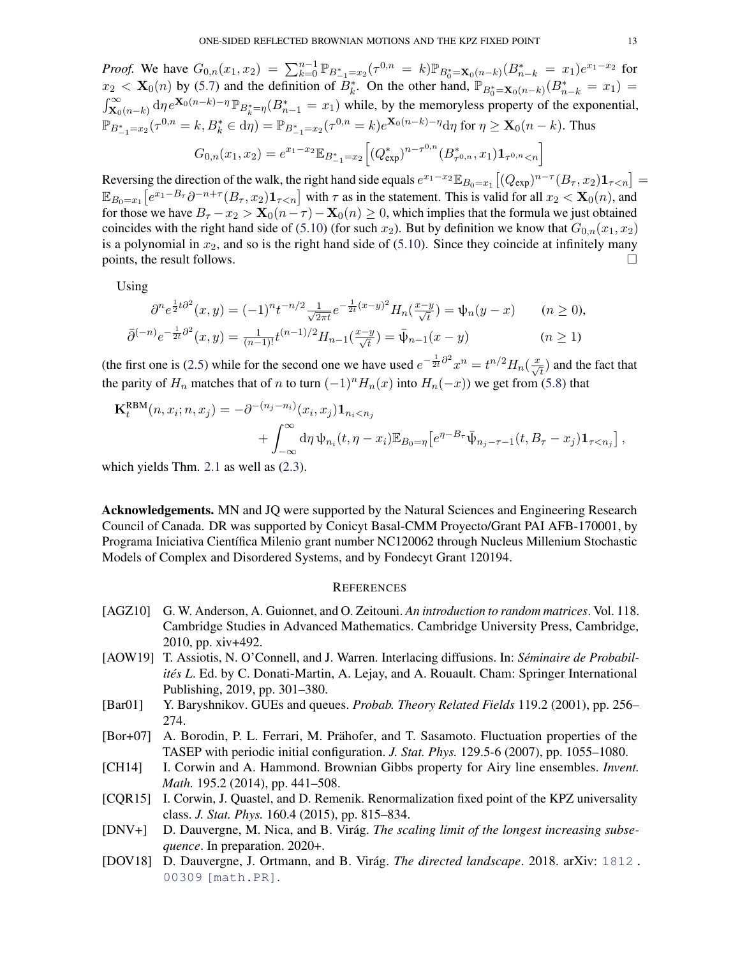*Proof.* We have  $G_{0,n}(x_1, x_2) = \sum_{k=0}^{n-1} \mathbb{P}_{B_{-1}^* = x_2}(\tau^{0,n} = k) \mathbb{P}_{B_0^* = \mathbf{X}_0(n-k)}(B_{n-k}^* = x_1)e^{x_1 - x_2}$  for  $x_2 < \mathbf{X}_0(n)$  by [\(5.7\)](#page-11-3) and the definition of  $B_k^*$ . On the other hand,  $\mathbb{P}_{B_0^*=\mathbf{X}_0(n-k)}(B_{n-k}^* = x_1)$  $\int_{\mathbf{X}_0(n-k)}^{\infty} d\eta e^{\mathbf{X}_0(n-k)-\eta} \mathbb{P}_{B_k^*=\eta}(B_{n-1}^* = x_1)$  while, by the memoryless property of the exponential,  $\mathbb{P}_{B_{-1}^* = x_2}(\tau^{0,n} = k, B_k^* \in d\eta) = \mathbb{P}_{B_{-1}^* = x_2}(\tau^{0,n} = k)e^{\mathbf{X}_0(n-k) - \eta}d\eta$  for  $\eta \ge \mathbf{X}_0(n-k)$ . Thus  $G_{0,n}(x_1,x_2)=e^{x_1-x_2}\mathbb{E}_{B_{-1}^* = x_2}\Big[(Q_{\text{exp}}^*)^{n-\tau^{0,n}}(B_{\tau^{0,n}}^*,x_1)\mathbf{1}_{\tau^{0,n} < n}\Big]$ 

Reversing the direction of the walk, the right hand side equals  $e^{x_1-x_2}\mathbb{E}_{B_0=x_1}[(Q_{exp})^{n-\tau}(B_{\tau},x_2)\mathbf{1}_{\tau\leq n}]=$  $\mathbb{E}_{B_0=x_1}\left[e^{x_1-B_\tau}\partial^{-n+\tau}(B_\tau,x_2)\mathbf{1}_{\tau\leq n}\right]$  with  $\tau$  as in the statement. This is valid for all  $x_2 < \mathbf{X}_0(n)$ , and for those we have  $B_{\tau} - x_2 > \mathbf{X}_0(n-\tau) - \mathbf{X}_0(n) \geq 0$ , which implies that the formula we just obtained coincides with the right hand side of [\(5.10\)](#page-11-4) (for such  $x_2$ ). But by definition we know that  $G_{0,n}(x_1, x_2)$ is a polynomial in  $x_2$ , and so is the right hand side of [\(5.10\)](#page-11-4). Since they coincide at infinitely many points, the result follows.  $\Box$ 

Using

$$
\partial^n e^{\frac{1}{2}t\partial^2}(x,y) = (-1)^n t^{-n/2} \frac{1}{\sqrt{2\pi t}} e^{-\frac{1}{2t}(x-y)^2} H_n(\frac{x-y}{\sqrt{t}}) = \psi_n(y-x) \qquad (n \ge 0),
$$
  

$$
\bar{\partial}^{(-n)} e^{-\frac{1}{2t}\partial^2}(x,y) = \frac{1}{(n-1)!} t^{(n-1)/2} H_{n-1}(\frac{x-y}{\sqrt{t}}) = \bar{\psi}_{n-1}(x-y) \qquad (n \ge 1)
$$

(the first one is [\(2.5\)](#page-2-4) while for the second one we have used  $e^{-\frac{1}{2t}\partial^2 x^n} = t^{n/2}H_n(\frac{x}{\sqrt{t}})$  and the fact that the parity of  $H_n$  matches that of n to turn  $(-1)^n H_n(x)$  into  $H_n(-x)$ ) we get from [\(5.8\)](#page-11-5) that

$$
\mathbf{K}_{t}^{\text{RBM}}(n, x_{i}; n, x_{j}) = -\partial^{-(n_{j}-n_{i})}(x_{i}, x_{j})\mathbf{1}_{n_{i} < n_{j}} + \int_{-\infty}^{\infty} d\eta \, \psi_{n_{i}}(t, \eta - x_{i}) \mathbb{E}_{B_{0}=\eta} \left[e^{\eta - B_{\tau}} \bar{\psi}_{n_{j}-\tau-1}(t, B_{\tau} - x_{j})\mathbf{1}_{\tau < n_{j}}\right],
$$

which yields Thm. [2.1](#page-2-0) as well as  $(2.3)$ .

Acknowledgements. MN and JQ were supported by the Natural Sciences and Engineering Research Council of Canada. DR was supported by Conicyt Basal-CMM Proyecto/Grant PAI AFB-170001, by Programa Iniciativa Científica Milenio grant number NC120062 through Nucleus Millenium Stochastic Models of Complex and Disordered Systems, and by Fondecyt Grant 120194.

## **REFERENCES**

- <span id="page-12-6"></span>[AGZ10] G. W. Anderson, A. Guionnet, and O. Zeitouni. *An introduction to random matrices*. Vol. 118. Cambridge Studies in Advanced Mathematics. Cambridge University Press, Cambridge, 2010, pp. xiv+492.
- <span id="page-12-1"></span>[AOW19] T. Assiotis, N. O'Connell, and J. Warren. Interlacing diffusions. In: *Séminaire de Probabilités L*. Ed. by C. Donati-Martin, A. Lejay, and A. Rouault. Cham: Springer International Publishing, 2019, pp. 301–380.
- <span id="page-12-3"></span>[Bar01] Y. Baryshnikov. GUEs and queues. *Probab. Theory Related Fields* 119.2 (2001), pp. 256– 274.
- <span id="page-12-7"></span>[Bor+07] A. Borodin, P. L. Ferrari, M. Prähofer, and T. Sasamoto. Fluctuation properties of the TASEP with periodic initial configuration. *J. Stat. Phys.* 129.5-6 (2007), pp. 1055–1080.
- <span id="page-12-5"></span>[CH14] I. Corwin and A. Hammond. Brownian Gibbs property for Airy line ensembles. *Invent. Math.* 195.2 (2014), pp. 441–508.
- <span id="page-12-4"></span>[CQR15] I. Corwin, J. Quastel, and D. Remenik. Renormalization fixed point of the KPZ universality class. *J. Stat. Phys.* 160.4 (2015), pp. 815–834.
- <span id="page-12-2"></span>[DNV+] D. Dauvergne, M. Nica, and B. Virág. *The scaling limit of the longest increasing subsequence*. In preparation. 2020+.
- <span id="page-12-0"></span>[DOV18] D. Dauvergne, J. Ortmann, and B. Virág. *The directed landscape*. 2018. arXiv: [1812.](https://arxiv.org/abs/1812.00309) [00309 \[math.PR\]](https://arxiv.org/abs/1812.00309).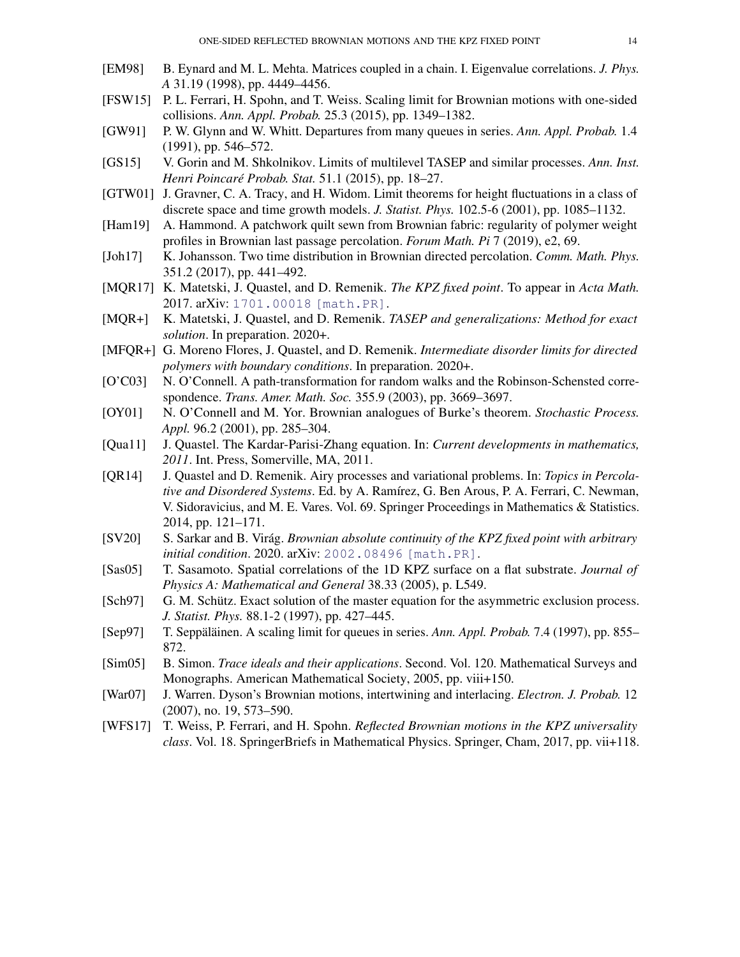- <span id="page-13-20"></span>[EM98] B. Eynard and M. L. Mehta. Matrices coupled in a chain. I. Eigenvalue correlations. *J. Phys. A* 31.19 (1998), pp. 4449–4456.
- <span id="page-13-18"></span>[FSW15] P. L. Ferrari, H. Spohn, and T. Weiss. Scaling limit for Brownian motions with one-sided collisions. *Ann. Appl. Probab.* 25.3 (2015), pp. 1349–1382.
- <span id="page-13-7"></span>[GW91] P. W. Glynn and W. Whitt. Departures from many queues in series. *Ann. Appl. Probab.* 1.4 (1991), pp. 546–572.
- <span id="page-13-4"></span>[GS15] V. Gorin and M. Shkolnikov. Limits of multilevel TASEP and similar processes. *Ann. Inst. Henri Poincaré Probab. Stat.* 51.1 (2015), pp. 18–27.
- <span id="page-13-11"></span>[GTW01] J. Gravner, C. A. Tracy, and H. Widom. Limit theorems for height fluctuations in a class of discrete space and time growth models. *J. Statist. Phys.* 102.5-6 (2001), pp. 1085–1132.
- <span id="page-13-6"></span>[Ham19] A. Hammond. A patchwork quilt sewn from Brownian fabric: regularity of polymer weight profiles in Brownian last passage percolation. *Forum Math. Pi* 7 (2019), e2, 69.
- <span id="page-13-10"></span>[Joh17] K. Johansson. Two time distribution in Brownian directed percolation. *Comm. Math. Phys.* 351.2 (2017), pp. 441–492.
- <span id="page-13-0"></span>[MQR17] K. Matetski, J. Quastel, and D. Remenik. *The KPZ fixed point*. To appear in *Acta Math.* 2017. arXiv: [1701.00018 \[math.PR\]](https://arxiv.org/abs/1701.00018).
- <span id="page-13-9"></span>[MQR+] K. Matetski, J. Quastel, and D. Remenik. *TASEP and generalizations: Method for exact solution*. In preparation. 2020+.
- <span id="page-13-13"></span>[MFQR+] G. Moreno Flores, J. Quastel, and D. Remenik. *Intermediate disorder limits for directed polymers with boundary conditions*. In preparation. 2020+.
- <span id="page-13-2"></span>[O'C03] N. O'Connell. A path-transformation for random walks and the Robinson-Schensted correspondence. *Trans. Amer. Math. Soc.* 355.9 (2003), pp. 3669–3697.
- <span id="page-13-1"></span>[OY01] N. O'Connell and M. Yor. Brownian analogues of Burke's theorem. *Stochastic Process*. *Appl.* 96.2 (2001), pp. 285–304.
- <span id="page-13-12"></span>[Qua11] J. Quastel. The Kardar-Parisi-Zhang equation. In: *Current developments in mathematics, 2011*. Int. Press, Somerville, MA, 2011.
- <span id="page-13-16"></span>[QR14] J. Quastel and D. Remenik. Airy processes and variational problems. In: *Topics in Percolative and Disordered Systems*. Ed. by A. Ramírez, G. Ben Arous, P. A. Ferrari, C. Newman, V. Sidoravicius, and M. E. Vares. Vol. 69. Springer Proceedings in Mathematics & Statistics. 2014, pp. 121–171.
- <span id="page-13-14"></span>[SV20] S. Sarkar and B. Virág. *Brownian absolute continuity of the KPZ fixed point with arbitrary initial condition*. 2020. arXiv: [2002.08496 \[math.PR\]](https://arxiv.org/abs/2002.08496).
- <span id="page-13-17"></span>[Sas05] T. Sasamoto. Spatial correlations of the 1D KPZ surface on a flat substrate. *Journal of Physics A: Mathematical and General* 38.33 (2005), p. L549.
- <span id="page-13-19"></span>[Sch97] G. M. Schütz. Exact solution of the master equation for the asymmetric exclusion process. *J. Statist. Phys.* 88.1-2 (1997), pp. 427–445.
- <span id="page-13-8"></span>[Sep97] T. Seppäläinen. A scaling limit for queues in series. *Ann. Appl. Probab.* 7.4 (1997), pp. 855– 872.
- <span id="page-13-15"></span>[Sim05] B. Simon. *Trace ideals and their applications*. Second. Vol. 120. Mathematical Surveys and Monographs. American Mathematical Society, 2005, pp. viii+150.
- <span id="page-13-3"></span>[War07] J. Warren. Dyson's Brownian motions, intertwining and interlacing. *Electron. J. Probab.* 12 (2007), no. 19, 573–590.
- <span id="page-13-5"></span>[WFS17] T. Weiss, P. Ferrari, and H. Spohn. *Reflected Brownian motions in the KPZ universality class*. Vol. 18. SpringerBriefs in Mathematical Physics. Springer, Cham, 2017, pp. vii+118.